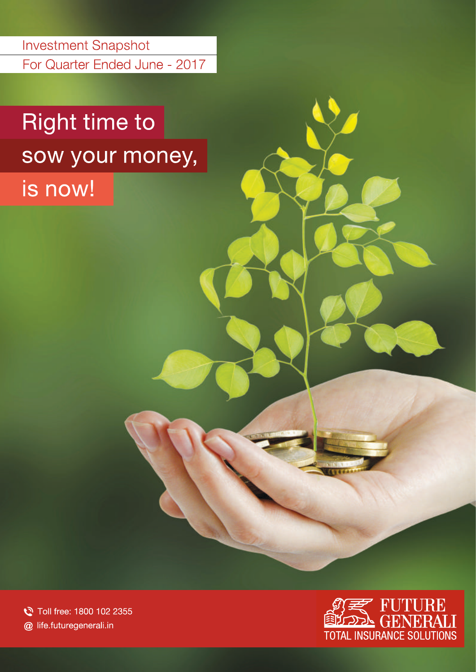**Investment Snapshot** For Quarter Ended June - 2017

# **Right time to** sow your money,

is now!

Toll free: 1800 102 2355 @ life.futuregenerali.in

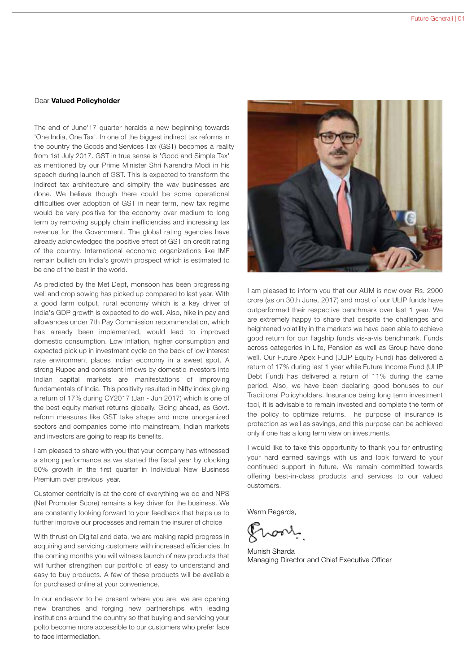### Dear Valued Policyholder

The end of June'17 quarter heralds a new beginning towards 'One India, One Tax'. In one of the biggest indirect tax reforms in the country the Goods and Services Tax (GST) becomes a reality from 1st July 2017. GST in true sense is 'Good and Simple Tax' as mentioned by our Prime Minister Shri Narendra Modi in his speech during launch of GST. This is expected to transform the indirect tax architecture and simplify the way businesses are done. We believe though there could be some operational difficulties over adoption of GST in near term, new tax regime would be very positive for the economy over medium to long term by removing supply chain inefficiencies and increasing tax revenue for the Government. The global rating agencies have already acknowledged the positive effect of GST on credit rating of the country. International economic organizations like IMF remain bullish on India's growth prospect which is estimated to be one of the best in the world.

As predicted by the Met Dept, monsoon has been progressing well and crop sowing has picked up compared to last year. With a good farm output, rural economy which is a key driver of India's GDP growth is expected to do well. Also, hike in pay and allowances under 7th Pay Commission recommendation, which has already been implemented, would lead to improved domestic consumption. Low inflation, higher consumption and expected pick up in investment cycle on the back of low interest rate environment places Indian economy in a sweet spot. A strong Rupee and consistent inflows by domestic investors into Indian capital markets are manifestations of improving fundamentals of India. This positivity resulted in Nifty index giving a return of 17% during CY2017 (Jan - Jun 2017) which is one of the best equity market returns globally. Going ahead, as Govt. reform measures like GST take shape and more unorganized sectors and companies come into mainstream, Indian markets and investors are going to reap its benefits.

I am pleased to share with you that your company has witnessed a strong performance as we started the fiscal year by clocking 50% growth in the first quarter in Individual New Business Premium over previous year.

Customer centricity is at the core of everything we do and NPS (Net Promoter Score) remains a key driver for the business. We are constantly looking forward to your feedback that helps us to further improve our processes and remain the insurer of choice

With thrust on Digital and data, we are making rapid progress in acquiring and servicing customers with increased efficiencies. In the coming months you will witness launch of new products that will further strengthen our portfolio of easy to understand and easy to buy products. A few of these products will be available for purchased online at your convenience.

In our endeavor to be present where you are, we are opening new branches and forging new partnerships with leading institutions around the country so that buying and servicing your polto become more accessible to our customers who prefer face to face intermediation.



I am pleased to inform you that our AUM is now over Rs. 2900 crore (as on 30th June, 2017) and most of our ULIP funds have outperformed their respective benchmark over last 1 year. We are extremely happy to share that despite the challenges and heightened volatility in the markets we have been able to achieve good return for our flagship funds vis-a-vis benchmark. Funds across categories in Life, Pension as well as Group have done well. Our Future Apex Fund (ULIP Equity Fund) has delivered a return of 17% during last 1 year while Future Income Fund (ULIP Debt Fund) has delivered a return of 11% during the same period. Also, we have been declaring good bonuses to our Traditional Policyholders. Insurance being long term investment tool, it is advisable to remain invested and complete the term of the policy to optimize returns. The purpose of insurance is protection as well as savings, and this purpose can be achieved only if one has a long term view on investments.

I would like to take this opportunity to thank you for entrusting your hard earned savings with us and look forward to your continued support in future. We remain committed towards offering best-in-class products and services to our valued customers.

Warm Regards,

homp

Munish Sharda Managing Director and Chief Executive Officer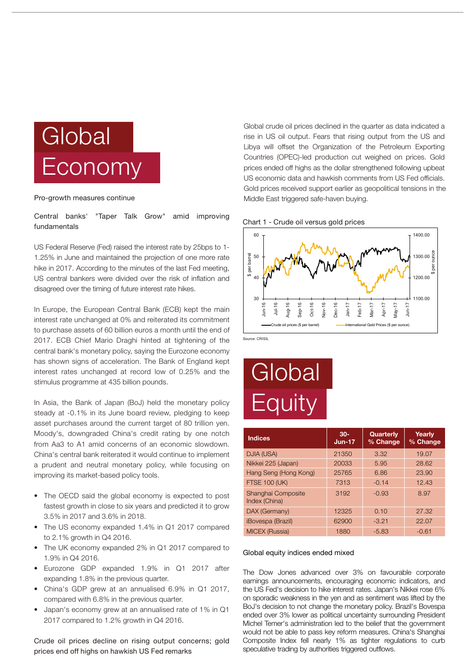

Pro-growth measures continue

Central banks' "Taper Talk Grow" amid improving fundamentals

US Federal Reserve (Fed) raised the interest rate by 25bps to 1- 1.25% in June and maintained the projection of one more rate hike in 2017. According to the minutes of the last Fed meeting, US central bankers were divided over the risk of inflation and disagreed over the timing of future interest rate hikes.

In Europe, the European Central Bank (ECB) kept the main interest rate unchanged at 0% and reiterated its commitment to purchase assets of 60 billion euros a month until the end of 2017. ECB Chief Mario Draghi hinted at tightening of the central bank's monetary policy, saying the Eurozone economy has shown signs of acceleration. The Bank of England kept interest rates unchanged at record low of 0.25% and the stimulus programme at 435 billion pounds.

In Asia, the Bank of Japan (BoJ) held the monetary policy steady at -0.1% in its June board review, pledging to keep asset purchases around the current target of 80 trillion yen. Moody's, downgraded China's credit rating by one notch from Aa3 to A1 amid concerns of an economic slowdown. China's central bank reiterated it would continue to implement a prudent and neutral monetary policy, while focusing on improving its market-based policy tools.

- The OECD said the global economy is expected to post fastest growth in close to six years and predicted it to grow 3.5% in 2017 and 3.6% in 2018.
- The US economy expanded 1.4% in Q1 2017 compared to 2.1% growth in Q4 2016.
- The UK economy expanded 2% in Q1 2017 compared to 1.9% in Q4 2016.
- Eurozone GDP expanded 1.9% in Q1 2017 after expanding 1.8% in the previous quarter.
- China's GDP grew at an annualised 6.9% in Q1 2017, compared with 6.8% in the previous quarter.
- Japan's economy grew at an annualised rate of 1% in Q1 2017 compared to 1.2% growth in Q4 2016.

Crude oil prices decline on rising output concerns; gold prices end off highs on hawkish US Fed remarks

Global crude oil prices declined in the quarter as data indicated a rise in US oil output. Fears that rising output from the US and Libya will offset the Organization of the Petroleum Exporting Countries (OPEC)-led production cut weighed on prices. Gold prices ended off highs as the dollar strengthened following upbeat US economic data and hawkish comments from US Fed officials. Gold prices received support earlier as geopolitical tensions in the Middle East triggered safe-haven buying.





Source: CRISIL

# **Global Equity**

| <b>Indices</b>                      | $30 -$<br>$Jun-17$ | Quarterly<br>% Change | Yearly<br>% Change |
|-------------------------------------|--------------------|-----------------------|--------------------|
| DJIA (USA)                          | 21350              | 3.32                  | 19.07              |
| Nikkei 225 (Japan)                  | 20033              | 5.95                  | 28.62              |
| Hang Seng (Hong Kong)               | 25765              | 6.86                  | 23.90              |
| <b>FTSE 100 (UK)</b>                | 7313               | $-0.14$               | 12.43              |
| Shanghai Composite<br>Index (China) | 3192               | $-0.93$               | 8.97               |
| DAX (Germany)                       | 12325              | 0.10                  | 27.32              |
| <i><b>iBovespa (Brazil)</b></i>     | 62900              | $-3.21$               | 22.07              |
| <b>MICEX (Russia)</b>               | 1880               | $-5.83$               | $-0.61$            |

#### Global equity indices ended mixed

The Dow Jones advanced over 3% on favourable corporate earnings announcements, encouraging economic indicators, and the US Fed's decision to hike interest rates. Japan's Nikkei rose 6% on sporadic weakness in the yen and as sentiment was lifted by the BoJ's decision to not change the monetary policy. Brazil's Bovespa ended over 3% lower as political uncertainty surrounding President Michel Temer's administration led to the belief that the government would not be able to pass key reform measures. China's Shanghai Composite Index fell nearly 1% as tighter regulations to curb speculative trading by authorities triggered outflows.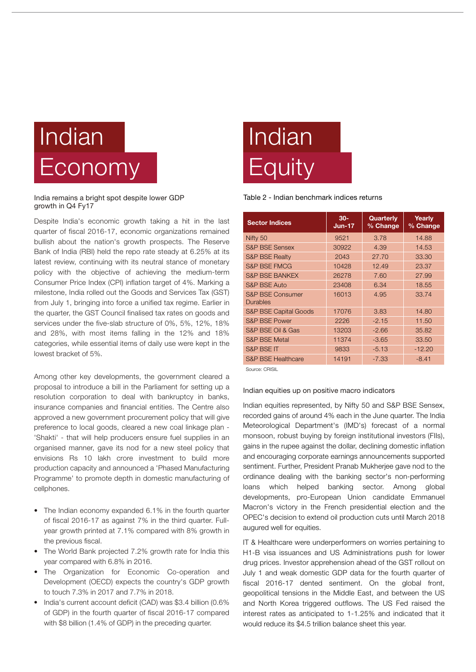# Indian Economy

India remains a bright spot despite lower GDP growth in Q4 Fy17

Despite India's economic growth taking a hit in the last quarter of fiscal 2016-17, economic organizations remained bullish about the nation's growth prospects. The Reserve Bank of India (RBI) held the repo rate steady at 6.25% at its latest review, continuing with its neutral stance of monetary policy with the objective of achieving the medium-term Consumer Price Index (CPI) inflation target of 4%. Marking a milestone, India rolled out the Goods and Services Tax (GST) from July 1, bringing into force a unified tax regime. Earlier in the quarter, the GST Council finalised tax rates on goods and services under the five-slab structure of 0%, 5%, 12%, 18% and 28%, with most items falling in the 12% and 18% categories, while essential items of daily use were kept in the lowest bracket of 5%.

Among other key developments, the government cleared a proposal to introduce a bill in the Parliament for setting up a resolution corporation to deal with bankruptcy in banks, insurance companies and financial entities. The Centre also approved a new government procurement policy that will give preference to local goods, cleared a new coal linkage plan - 'Shakti' - that will help producers ensure fuel supplies in an organised manner, gave its nod for a new steel policy that envisions Rs 10 lakh crore investment to build more production capacity and announced a 'Phased Manufacturing Programme' to promote depth in domestic manufacturing of cellphones.

- The Indian economy expanded 6.1% in the fourth quarter of fiscal 2016-17 as against 7% in the third quarter. Fullyear growth printed at 7.1% compared with 8% growth in the previous fiscal.
- The World Bank projected 7.2% growth rate for India this year compared with 6.8% in 2016.
- The Organization for Economic Co-operation and Development (OECD) expects the country's GDP growth to touch 7.3% in 2017 and 7.7% in 2018.
- India's current account deficit (CAD) was \$3.4 billion (0.6% of GDP) in the fourth quarter of fiscal 2016-17 compared with \$8 billion (1.4% of GDP) in the preceding quarter.

# Indian **Equity**

Table 2 - Indian benchmark indices returns

| <b>Sector Indices</b>                   | $30-$<br>$Jun-17$ | Quarterly<br>% Change | Yearly<br>% Change |
|-----------------------------------------|-------------------|-----------------------|--------------------|
| Nifty 50                                | 9521              | 3.78                  | 14.88              |
| <b>S&amp;P BSE Sensex</b>               | 30922             | 4.39                  | 14.53              |
| <b>S&amp;P BSE Realty</b>               | 2043              | 27.70                 | 33.30              |
| <b>S&amp;P BSE FMCG</b>                 | 10428             | 12.49                 | 23.37              |
| <b>S&amp;P BSE BANKEX</b>               | 26278             | 7.60                  | 27.99              |
| <b>S&amp;P BSE Auto</b>                 | 23408             | 6.34                  | 18.55              |
| <b>S&amp;P BSE Consumer</b><br>Durables | 16013             | 4.95                  | 33.74              |
| <b>S&amp;P BSE Capital Goods</b>        | 17076             | 3.83                  | 14.80              |
| <b>S&amp;P BSE Power</b>                | 2226              | $-2.15$               | 11.50              |
| S&P BSE Oil & Gas                       | 13203             | $-2.66$               | 35.82              |
| <b>S&amp;P BSE Metal</b>                | 11374             | $-3.65$               | 33.50              |
| S&P BSE IT                              | 9833              | $-5.13$               | $-12.20$           |
| <b>S&amp;P BSE Healthcare</b>           | 14191             | $-7.33$               | $-8.41$            |

Source: CRISIL

Indian equities up on positive macro indicators

Indian equities represented, by Nifty 50 and S&P BSE Sensex, recorded gains of around 4% each in the June quarter. The India Meteorological Department's (IMD's) forecast of a normal monsoon, robust buying by foreign institutional investors (FIIs), gains in the rupee against the dollar, declining domestic inflation and encouraging corporate earnings announcements supported sentiment. Further, President Pranab Mukherjee gave nod to the ordinance dealing with the banking sector's non-performing loans which helped banking sector. Among global developments, pro-European Union candidate Emmanuel Macron's victory in the French presidential election and the OPEC's decision to extend oil production cuts until March 2018 augured well for equities.

IT & Healthcare were underperformers on worries pertaining to H1-B visa issuances and US Administrations push for lower drug prices. Investor apprehension ahead of the GST rollout on July 1 and weak domestic GDP data for the fourth quarter of fiscal 2016-17 dented sentiment. On the global front, geopolitical tensions in the Middle East, and between the US and North Korea triggered outflows. The US Fed raised the interest rates as anticipated to 1-1.25% and indicated that it would reduce its \$4.5 trillion balance sheet this year.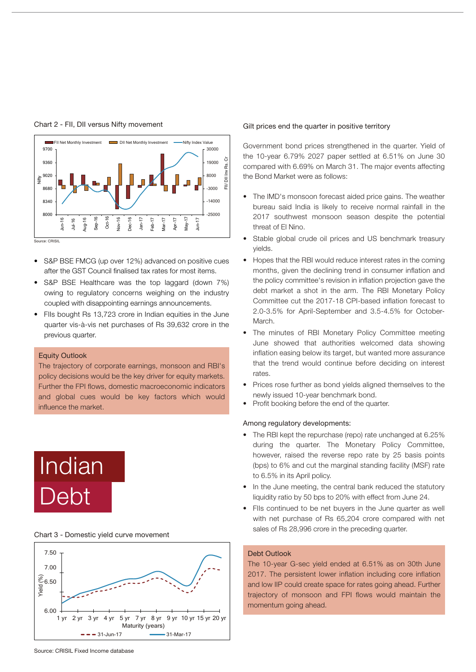

Chart 2 - FII, DII versus Nifty movement

- S&P BSE FMCG (up over 12%) advanced on positive cues after the GST Council finalised tax rates for most items.
- S&P BSE Healthcare was the top laggard (down 7%) owing to regulatory concerns weighing on the industry coupled with disappointing earnings announcements.
- FIIs bought Rs 13,723 crore in Indian equities in the June quarter vis-à-vis net purchases of Rs 39,632 crore in the previous quarter.

### Equity Outlook

The trajectory of corporate earnings, monsoon and RBI's policy decisions would be the key driver for equity markets. Further the FPI flows, domestic macroeconomic indicators and global cues would be key factors which would influence the market.

# Indian Debt

#### Chart 3 - Domestic yield curve movement



#### Gilt prices end the quarter in positive territory

Government bond prices strengthened in the quarter. Yield of the 10-year 6.79% 2027 paper settled at 6.51% on June 30 compared with 6.69% on March 31. The major events affecting the Bond Market were as follows:

- The IMD's monsoon forecast aided price gains. The weather bureau said India is likely to receive normal rainfall in the 2017 southwest monsoon season despite the potential threat of El Nino.
- Stable global crude oil prices and US benchmark treasury yields.
- Hopes that the RBI would reduce interest rates in the coming months, given the declining trend in consumer inflation and the policy committee's revision in inflation projection gave the debt market a shot in the arm. The RBI Monetary Policy Committee cut the 2017-18 CPI-based inflation forecast to 2.0-3.5% for April-September and 3.5-4.5% for October-March.
- The minutes of RBI Monetary Policy Committee meeting June showed that authorities welcomed data showing inflation easing below its target, but wanted more assurance that the trend would continue before deciding on interest rates.
- Prices rose further as bond yields aligned themselves to the newly issued 10-year benchmark bond.
- Profit booking before the end of the quarter.

### Among regulatory developments:

- The RBI kept the repurchase (repo) rate unchanged at 6.25% during the quarter. The Monetary Policy Committee, however, raised the reverse repo rate by 25 basis points (bps) to 6% and cut the marginal standing facility (MSF) rate to 6.5% in its April policy.
- In the June meeting, the central bank reduced the statutory liquidity ratio by 50 bps to 20% with effect from June 24.
- FIIs continued to be net buyers in the June quarter as well with net purchase of Rs 65,204 crore compared with net sales of Rs 28,996 crore in the preceding quarter.

### Debt Outlook

The 10-year G-sec yield ended at 6.51% as on 30th June 2017. The persistent lower inflation including core inflation and low IIP could create space for rates going ahead. Further trajectory of monsoon and FPI flows would maintain the momentum going ahead.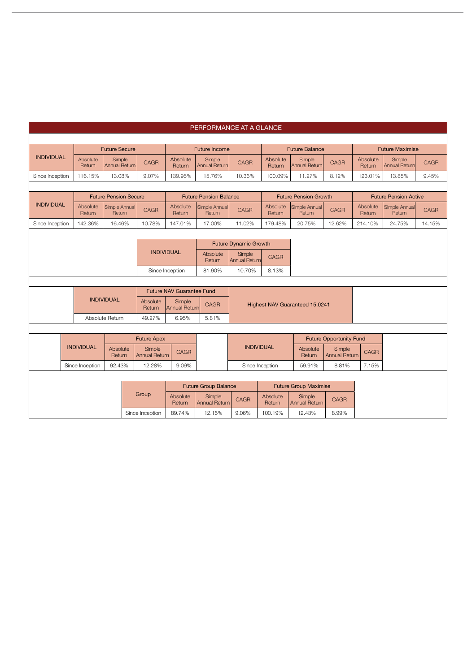|                      | PERFORMANCE AT A GLANCE                                         |                    |                                |               |                                |                                              |                                |                                |                       |                                |                                |                           |                                |             |
|----------------------|-----------------------------------------------------------------|--------------------|--------------------------------|---------------|--------------------------------|----------------------------------------------|--------------------------------|--------------------------------|-----------------------|--------------------------------|--------------------------------|---------------------------|--------------------------------|-------------|
|                      |                                                                 |                    |                                |               |                                |                                              |                                |                                |                       |                                |                                |                           |                                |             |
| <b>Future Secure</b> |                                                                 |                    |                                | Future Income |                                |                                              |                                |                                | <b>Future Balance</b> |                                | <b>Future Maximise</b>         |                           |                                |             |
| <b>INDIVIDUAL</b>    |                                                                 | Absolute<br>Return | Simple<br><b>Annual Return</b> |               | <b>CAGR</b>                    | Absolute<br>Return                           | Simple<br><b>Annual Return</b> | <b>CAGR</b>                    | Absolute<br>Return    | Simple<br><b>Annual Return</b> | <b>CAGR</b>                    | Absolute<br>Return        | Simple<br><b>Annual Return</b> | <b>CAGR</b> |
| Since Inception      |                                                                 | 116.15%            | 13.08%                         |               | 9.07%                          | 139.95%                                      | 15.76%                         | 10.36%                         | 100.09%               | 11.27%                         | 8.12%                          | 123.01%                   | 13.85%                         | 9.45%       |
|                      |                                                                 |                    |                                |               |                                |                                              |                                |                                |                       |                                |                                |                           |                                |             |
|                      |                                                                 |                    | <b>Future Pension Secure</b>   |               |                                |                                              | <b>Future Pension Balance</b>  |                                |                       | <b>Future Pension Growth</b>   |                                |                           | <b>Future Pension Active</b>   |             |
| <b>INDIVIDUAL</b>    |                                                                 | Absolute<br>Return | Simple Annual<br>Return        |               | <b>CAGR</b>                    | Absolute<br>Return                           | Simple Annual<br>Return        | CAGR                           | Absolute<br>Return    | Simple Annual<br>Return        | <b>CAGR</b>                    | Absolute<br><b>Return</b> | Simple Annual<br>Return        | <b>CAGR</b> |
| Since Inception      |                                                                 | 142.36%            | 16.46%                         |               | 10.78%                         | 147.01%                                      | 17.00%                         | 11.02%                         | 179.48%               | 20.75%                         | 12.62%                         | 214.10%                   | 24.75%                         | 14.15%      |
|                      |                                                                 |                    |                                |               |                                |                                              |                                |                                |                       |                                |                                |                           |                                |             |
|                      |                                                                 |                    |                                |               |                                |                                              |                                | <b>Future Dynamic Growth</b>   |                       |                                |                                |                           |                                |             |
|                      |                                                                 |                    |                                |               |                                | <b>INDIVIDUAL</b>                            | Absolute<br>Return             | Simple<br><b>Annual Return</b> | CAGR                  |                                |                                |                           |                                |             |
|                      |                                                                 |                    |                                |               |                                | 8.13%<br>Since Inception<br>81.90%<br>10.70% |                                |                                |                       |                                |                                |                           |                                |             |
|                      |                                                                 |                    |                                |               |                                |                                              |                                |                                |                       |                                |                                |                           |                                |             |
|                      |                                                                 |                    |                                |               |                                | <b>Future NAV Guarantee Fund</b>             |                                |                                |                       |                                |                                |                           |                                |             |
|                      |                                                                 |                    | <b>INDIVIDUAL</b>              |               | Absolute<br>Return             | Simple<br><b>Annual Return</b>               | <b>CAGR</b>                    |                                |                       | Highest NAV Guaranteed 15.0241 |                                |                           |                                |             |
|                      |                                                                 |                    | Absolute Return                |               | 49.27%                         | 6.95%                                        | 5.81%                          |                                |                       |                                |                                |                           |                                |             |
|                      |                                                                 |                    |                                |               |                                |                                              |                                |                                |                       |                                |                                |                           |                                |             |
|                      |                                                                 |                    |                                |               | <b>Future Apex</b>             |                                              |                                |                                |                       |                                | <b>Future Opportunity Fund</b> |                           |                                |             |
|                      |                                                                 | <b>INDIVIDUAL</b>  | Absolute<br>Return             |               | Simple<br><b>Annual Return</b> | CAGR                                         |                                | <b>INDIVIDUAL</b>              |                       | Absolute<br>Return             | Simple<br><b>Annual Return</b> | <b>CAGR</b>               |                                |             |
|                      | 92.43%<br>12.28%<br>Since Inception<br>9.09%<br>Since Inception |                    |                                | 59.91%        | 8.81%                          | 7.15%                                        |                                |                                |                       |                                |                                |                           |                                |             |
|                      |                                                                 |                    |                                |               |                                |                                              |                                |                                |                       |                                |                                |                           |                                |             |
|                      |                                                                 |                    |                                |               |                                |                                              | <b>Future Group Balance</b>    |                                |                       | <b>Future Group Maximise</b>   |                                |                           |                                |             |
|                      |                                                                 |                    |                                |               | Group                          | Absolute<br>Return                           | Simple<br><b>Annual Return</b> | <b>CAGR</b>                    | Absolute<br>Return    | Simple<br><b>Annual Return</b> | <b>CAGR</b>                    |                           |                                |             |
|                      |                                                                 |                    |                                |               | Since Inception                | 89.74%                                       | 12.15%                         | 9.06%                          | 100.19%               | 12.43%                         | 8.99%                          |                           |                                |             |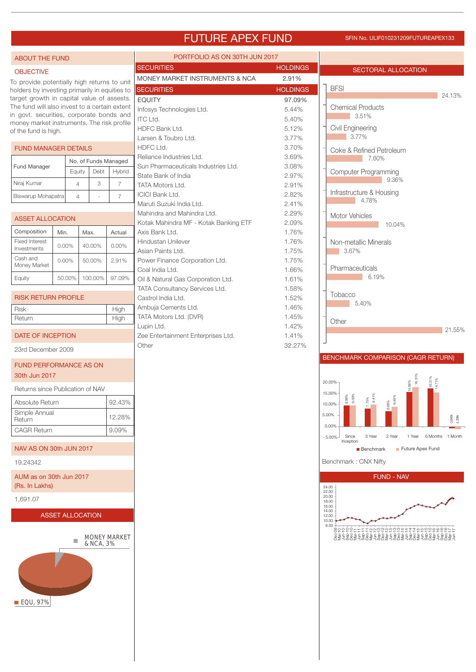### FUTURE APEX FUND SFIN No. ULIF010231209FUTUREAPEX133

PORTFOLIO AS ON 30TH JUN 2017

#### ABOUT THE FUND

#### **OBJECTIVE**

To provide potentially high returns to unit holders by investing primarily in equities to target growth in capital value of assests. The fund will also invest to a certain extent in govt. securities, corporate bonds and money market instruments. The risk profile of the fund is high.

|  | FUND MANAGER DETAILS |                      |      |        |  |  |  |  |  |  |
|--|----------------------|----------------------|------|--------|--|--|--|--|--|--|
|  | <b>Fund Manager</b>  | No. of Funds Managed |      |        |  |  |  |  |  |  |
|  |                      | Equity               | Debt | Hybrid |  |  |  |  |  |  |
|  | Niraj Kumar          | 4                    | 3    |        |  |  |  |  |  |  |
|  | Biswarup Mohapatra   |                      |      |        |  |  |  |  |  |  |

| <b>ASSET ALLOCATION</b>              |          |         |          |  |  |  |  |
|--------------------------------------|----------|---------|----------|--|--|--|--|
| Composition                          | Min.     | Max.    | Actual   |  |  |  |  |
| <b>Fixed Interest</b><br>Investments | $0.00\%$ | 40.00%  | $0.00\%$ |  |  |  |  |
| Cash and<br>Money Market             | $0.00\%$ | 50.00%  | 2.91%    |  |  |  |  |
| Equity                               | 50.00%   | 100.00% | 97.09%   |  |  |  |  |

High

| <b>RISK RETURN PROFILE</b> |
|----------------------------|
| Rick                       |

Return High

| DATE OF INCEPTION |  |
|-------------------|--|
|                   |  |

23rd December 2009

### FUND PERFORMANCE AS ON 30th Jun 2017

Returns since Publication of NAV

| 92.43% |
|--------|
| 12.28% |
| 9.09%  |
|        |

### NAV AS ON 30th JUN 2017

19.24342

AUM as on 30th Jun 2017 (Rs. In Lakhs)

1,691.07

### ASSET ALLOCATION



| <b>SECURITIES</b>                     | HOLDINGS        |
|---------------------------------------|-----------------|
| MONEY MARKET INSTRUMENTS & NCA        | 2.91%           |
| <b>SECURITIES</b>                     | <b>HOLDINGS</b> |
| <b>EQUITY</b>                         | 97.09%          |
| Infosys Technologies Ltd.             | 5.44%           |
| <b>ITC</b> Ltd.                       | 5.40%           |
| HDFC Bank Ltd.                        | 5.12%           |
| Larsen & Toubro Ltd.                  | 3.77%           |
| HDFC Ltd.                             | 3.70%           |
| Reliance Industries Ltd.              | 3.69%           |
| Sun Pharmaceuticals Industries Ltd.   | 3.08%           |
| State Bank of India                   | 2.97%           |
| <b>TATA Motors Ltd.</b>               | 2.91%           |
| <b>ICICI Bank Ltd.</b>                | 2.82%           |
| Maruti Suzuki India Ltd.              | 2.41%           |
| Mahindra and Mahindra Ltd.            | 2.29%           |
| Kotak Mahindra MF - Kotak Banking ETF | 2.09%           |
| Axis Bank Ltd.                        | 1.76%           |
| Hindustan Unilever                    | 1.76%           |
| Asian Paints Ltd.                     | 1.75%           |
| Power Finance Corporation Ltd.        | 1.75%           |
| Coal India Ltd.                       | 1.66%           |
| Oil & Natural Gas Corporation Ltd.    | 1.61%           |
| TATA Consultancy Services Ltd.        | 1.58%           |
| Castrol India Ltd.                    | 1.52%           |
| Ambuja Cements Ltd.                   | 1.46%           |
| TATA Motors Ltd. (DVR)                | 1.45%           |
| Lupin Ltd.                            | 1.42%           |
| Zee Entertainment Enterprises Ltd.    | 1.41%           |
| Other                                 | 32.27%          |



### BENCHMARK COMPARISON (CAGR RETURN)





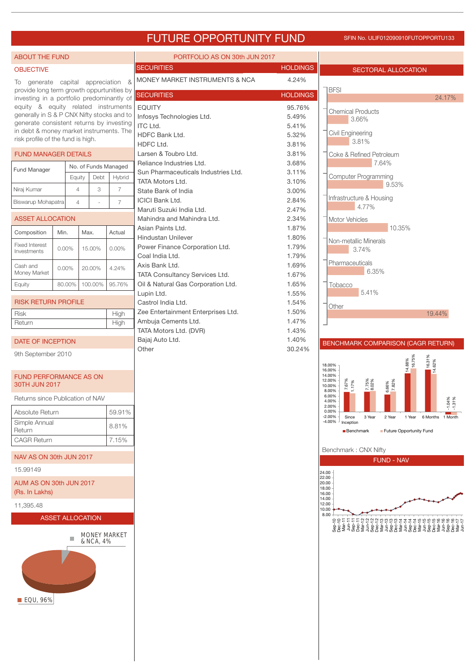## FUTURE OPPORTUNITY FUND SFIN NO. ULIF012090910FUTOPPORTU133

| <b>ABOUT THE FUND</b>                                                            |                         |                     |                      | PORTFOLIO AS ON 30th JUN 2017                                        |                 |                                                                                                                                          |
|----------------------------------------------------------------------------------|-------------------------|---------------------|----------------------|----------------------------------------------------------------------|-----------------|------------------------------------------------------------------------------------------------------------------------------------------|
| <b>OBJECTIVE</b>                                                                 |                         |                     |                      | <b>SECURITIES</b>                                                    | <b>HOLDINGS</b> | <b>SECTORAL ALLOCATION</b>                                                                                                               |
| To generate capital appreciation<br>provide long term growth oppurtunities by    |                         |                     | &                    | MONEY MARKET INSTRUMENTS & NCA                                       | 4.24%           | <b>BFSI</b>                                                                                                                              |
| investing in a portfolio predominantly of<br>equity & equity related instruments |                         |                     | <b>SECURITIES</b>    | <b>HOLDINGS</b>                                                      | 24.17%          |                                                                                                                                          |
| generally in S & P CNX Nifty stocks and to                                       |                         |                     |                      | <b>EQUITY</b><br>Infosys Technologies Ltd.                           | 95.76%<br>5.49% | <b>Chemical Products</b>                                                                                                                 |
| generate consistent returns by investing                                         |                         |                     |                      | <b>ITC Ltd.</b>                                                      | 5.41%           | 3.66%                                                                                                                                    |
| in debt & money market instruments. The<br>risk profile of the fund is high.     |                         |                     |                      | HDFC Bank Ltd.                                                       | 5.32%           | Civil Engineering                                                                                                                        |
|                                                                                  |                         |                     |                      | HDFC Ltd.                                                            | 3.81%           | 3.81%                                                                                                                                    |
| <b>FUND MANAGER DETAILS</b>                                                      |                         |                     |                      | Larsen & Toubro Ltd.                                                 | 3.81%           | Coke & Refined Petroleum                                                                                                                 |
| Fund Manager                                                                     |                         |                     | No. of Funds Managed | Reliance Industries Ltd.<br>Sun Pharmaceuticals Industries Ltd.      | 3.68%<br>3.11%  | 7.64%                                                                                                                                    |
|                                                                                  |                         | Equity<br>Debt      | Hybrid               | <b>TATA Motors Ltd.</b>                                              | 3.10%           | <b>Computer Programming</b><br>9.53%                                                                                                     |
| Niraj Kumar                                                                      |                         | 3<br>$\overline{4}$ | $\overline{7}$       | State Bank of India                                                  | 3.00%           |                                                                                                                                          |
| Biswarup Mohapatra                                                               |                         | $\overline{4}$      | $\overline{7}$       | <b>ICICI Bank Ltd.</b>                                               | 2.84%           | Infrastructure & Housing<br>4.77%                                                                                                        |
|                                                                                  |                         |                     |                      | Maruti Suzuki India Ltd.                                             | 2.47%           |                                                                                                                                          |
| <b>ASSET ALLOCATION</b>                                                          |                         |                     |                      | Mahindra and Mahindra Ltd.<br>Asian Paints Ltd.                      | 2.34%<br>1.87%  | Motor Vehicles<br>10.35%                                                                                                                 |
| Composition                                                                      | Min.                    | Max.                | Actual               | <b>Hindustan Unilever</b>                                            | 1.80%           |                                                                                                                                          |
| <b>Fixed Interest</b><br>Investments                                             | 0.00%                   | 15.00%              | $0.00\%$             | Power Finance Corporation Ltd.                                       | 1.79%           | Non-metallic Minerals<br>3.74%                                                                                                           |
|                                                                                  |                         |                     |                      | Coal India Ltd.                                                      | 1.79%           |                                                                                                                                          |
| Cash and<br>Money Market                                                         | $0.00\%$                | 20.00%              | 4.24%                | Axis Bank Ltd.                                                       | 1.69%           | Pharmaceuticals<br>6.35%                                                                                                                 |
| Equity                                                                           | 80.00%                  | 100.00%             | 95.76%               | TATA Consultancy Services Ltd.<br>Oil & Natural Gas Corporation Ltd. | 1.67%<br>1.65%  |                                                                                                                                          |
|                                                                                  |                         |                     |                      | Lupin Ltd.                                                           | 1.55%           | Tobacco<br>5.41%                                                                                                                         |
| <b>RISK RETURN PROFILE</b>                                                       |                         |                     |                      | Castrol India Ltd.                                                   | 1.54%           | Other                                                                                                                                    |
| <b>Risk</b>                                                                      | High                    |                     |                      | Zee Entertainment Enterprises Ltd.                                   | 1.50%           | 19.44%                                                                                                                                   |
| Return                                                                           |                         |                     | High                 | Ambuja Cements Ltd.                                                  | 1.47%<br>1.43%  |                                                                                                                                          |
| <b>DATE OF INCEPTION</b>                                                         |                         |                     |                      | TATA Motors Ltd. (DVR)<br>Bajaj Auto Ltd.                            | 1.40%           |                                                                                                                                          |
|                                                                                  |                         |                     |                      | Other                                                                | 30.24%          | BENCHMARK COMPARISON (CAGR RETURN)                                                                                                       |
| 9th September 2010                                                               |                         |                     |                      |                                                                      |                 | 16.31%<br>14.62%<br>14.88%<br>16.75%                                                                                                     |
| <b>FUND PERFORMANCE AS ON</b><br>30TH JUN 2017                                   |                         |                     |                      |                                                                      |                 | 18.00%<br>16.00%<br>14.00%<br>12.00%<br>7.75%<br>8.02%<br>1.17%<br>10.00%                                                                |
| Returns since Publication of NAV                                                 |                         |                     |                      |                                                                      |                 | 6.66%<br>7.82%<br>8.00%<br>6.00%<br>$1.04\%$<br>$1.31\%$<br>4.00%                                                                        |
| Absolute Return                                                                  |                         |                     | 59.91%               |                                                                      |                 | 2.00%<br>0.00%                                                                                                                           |
| Simple Annual<br>Return                                                          |                         |                     | 8.81%                |                                                                      |                 | $-2.00%$<br>1 Year 6 Months 1 Month<br>Since<br>3 Year<br>2 Year<br>$-4.00%$<br>Inception<br>Future Opportunity Fund<br><b>Benchmark</b> |
| <b>CAGR Return</b>                                                               |                         |                     | 7.15%                |                                                                      |                 |                                                                                                                                          |
| NAV AS ON 30th JUN 2017                                                          |                         |                     |                      |                                                                      |                 | Benchmark: CNX Nifty<br><b>FUND - NAV</b>                                                                                                |
| 15.99149                                                                         |                         |                     |                      |                                                                      |                 | 24.00                                                                                                                                    |
| AUM AS ON 30th JUN 2017                                                          |                         |                     |                      |                                                                      |                 | 22.00<br>20.00<br>18.00                                                                                                                  |
| (Rs. In Lakhs)                                                                   |                         |                     |                      |                                                                      |                 | 16.00<br>14.00                                                                                                                           |
| 11,395.48                                                                        | <b>ASSET ALLOCATION</b> |                     |                      |                                                                      |                 | 12.00<br>10.00<br>8.00                                                                                                                   |
|                                                                                  |                         |                     |                      |                                                                      |                 |                                                                                                                                          |
|                                                                                  | П                       | & NCA, 4%           | <b>MONEY MARKET</b>  |                                                                      |                 |                                                                                                                                          |
| <b>EQU, 96%</b>                                                                  |                         |                     |                      |                                                                      |                 |                                                                                                                                          |
|                                                                                  |                         |                     |                      |                                                                      |                 |                                                                                                                                          |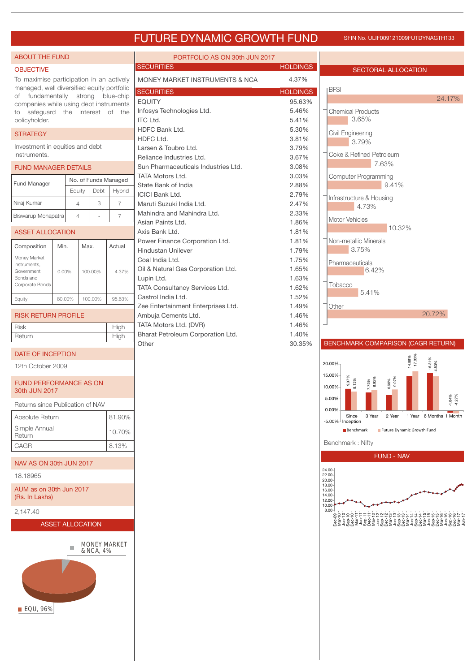### FUTURE DYNAMIC GROWTH FUND SFIN No. ULIF009121009FUTDYNAGTH133

| <b>ABOUT THE FUND</b>                                                           |                |         |                                | PORTFOLIO AS ON 30th JUN 2017                                   |                                  |                                                                                                 |
|---------------------------------------------------------------------------------|----------------|---------|--------------------------------|-----------------------------------------------------------------|----------------------------------|-------------------------------------------------------------------------------------------------|
| <b>OBJECTIVE</b>                                                                |                |         |                                | <b>SECURITIES</b>                                               | <b>HOLDINGS</b>                  | <b>SECTORAL ALLOCATION</b>                                                                      |
| To maximise participation in an actively                                        |                |         |                                | MONEY MARKET INSTRUMENTS & NCA                                  | 4.37%                            |                                                                                                 |
| managed, well diversified equity portfolio<br>of fundamentally strong blue-chip |                |         |                                | <b>SECURITIES</b>                                               | <b>HOLDINGS</b>                  | <b>BFSI</b>                                                                                     |
| companies while using debt instruments                                          |                |         |                                | <b>EQUITY</b>                                                   | 95.63%                           | 24.17%                                                                                          |
| to safeguard the interest of the<br>policyholder.                               |                |         |                                | Infosys Technologies Ltd.<br><b>ITC Ltd.</b>                    | 5.46%<br>5.41%                   | <b>Chemical Products</b><br>3.65%                                                               |
|                                                                                 |                |         |                                | HDFC Bank Ltd.                                                  | 5.30%                            |                                                                                                 |
| <b>STRATEGY</b>                                                                 |                |         |                                | HDFC Ltd.                                                       | 3.81%                            | Civil Engineering<br>3.79%                                                                      |
| Investment in equities and debt<br>instruments.                                 |                |         |                                | Larsen & Toubro Ltd.                                            | 3.79%                            | Coke & Refined Petroleum                                                                        |
|                                                                                 |                |         |                                | Reliance Industries Ltd.<br>Sun Pharmaceuticals Industries Ltd. | 3.67%<br>3.08%                   | 7.63%                                                                                           |
| <b>FUND MANAGER DETAILS</b>                                                     |                |         |                                | <b>TATA Motors Ltd.</b>                                         | 3.03%                            | <b>Computer Programming</b>                                                                     |
| Fund Manager                                                                    |                | Debt    | No. of Funds Managed<br>Hybrid | State Bank of India                                             | 9.41%                            |                                                                                                 |
|                                                                                 | Equity         |         |                                | <b>ICICI Bank Ltd.</b>                                          | 2.79%                            | Infrastructure & Housing                                                                        |
| Niraj Kumar                                                                     | $\overline{4}$ | 3       | $\overline{7}$                 | Maruti Suzuki India Ltd.<br>Mahindra and Mahindra Ltd.          | 2.47%<br>2.33%                   | 4.73%                                                                                           |
| Biswarup Mohapatra                                                              | $\overline{4}$ |         | $\overline{7}$                 | Asian Paints Ltd.                                               | 1.86%                            | Motor Vehicles                                                                                  |
| <b>ASSET ALLOCATION</b>                                                         |                |         |                                | Axis Bank Ltd.                                                  | 1.81%                            | 10.32%                                                                                          |
| Composition                                                                     | Min.           | Max.    | Actual                         | Power Finance Corporation Ltd.                                  | 1.81%                            | Non-metallic Minerals                                                                           |
| Money Market                                                                    |                |         |                                | <b>Hindustan Unilever</b><br>Coal India Ltd.                    | 1.79%<br>1.75%                   | 3.75%                                                                                           |
| Instruments,<br>Government                                                      |                |         |                                | Oil & Natural Gas Corporation Ltd.                              | 1.65%                            | Pharmaceuticals<br>6.42%                                                                        |
| Bonds and                                                                       | 0.00%          | 100.00% | 4.37%                          | Lupin Ltd.                                                      | 1.63%                            |                                                                                                 |
| Corporate Bonds                                                                 |                |         |                                | TATA Consultancy Services Ltd.                                  | 1.62%                            | Tobacco<br>5.41%                                                                                |
| Equity                                                                          | 80.00%         | 100.00% | 95.63%                         | Castrol India Ltd.                                              | 1.52%                            |                                                                                                 |
|                                                                                 |                |         |                                | Zee Entertainment Enterprises Ltd.<br>Ambuja Cements Ltd.       | 1.49%<br>1.46%                   | Other<br>20.72%                                                                                 |
| <b>RISK RETURN PROFILE</b><br><b>Risk</b>                                       |                |         | High                           | TATA Motors Ltd. (DVR)                                          | 1.46%                            |                                                                                                 |
| Return                                                                          |                |         | High                           | Bharat Petroleum Corporation Ltd.                               | 1.40%                            |                                                                                                 |
| <b>DATE OF INCEPTION</b>                                                        |                |         |                                | Other                                                           | 30.35%                           | BENCHMARK COMPARISON (CAGR RETURN)                                                              |
|                                                                                 |                |         |                                |                                                                 |                                  | 14.88%<br>17.00%<br>16.31%<br>83%<br>20.00%                                                     |
| 12th October 2009                                                               |                |         |                                |                                                                 |                                  | ₫<br>15.00%                                                                                     |
| <b>FUND PERFORMANCE AS ON</b><br>30th JUN 2017                                  |                |         |                                |                                                                 |                                  | $\begin{array}{ c } 9.37\% \\ 8.13\% \end{array}$<br>7.75%<br>8.92%<br>6.66%<br>10.00%<br>5.00% |
| Returns since Publication of NAV                                                |                |         |                                |                                                                 |                                  | $-1.04%$<br>0.00%                                                                               |
| Absolute Return                                                                 |                |         | 81.90%                         |                                                                 |                                  | 2 Year<br>1 Year 6 Months 1 Month<br>Since<br>3 Year<br>-5.00% <sup>J</sup> Inception           |
| Simple Annual                                                                   |                |         | 10.70%                         |                                                                 |                                  | Future Dynamic Growth Fund<br><b>Benchmark</b>                                                  |
| Return<br>CAGR                                                                  |                |         | 8.13%                          |                                                                 |                                  | Benchmark: Nifty                                                                                |
|                                                                                 |                |         |                                |                                                                 |                                  | <b>FUND - NAV</b>                                                                               |
| NAV AS ON 30th JUN 2017                                                         |                |         |                                |                                                                 |                                  | 24.00                                                                                           |
| 18.18965                                                                        |                |         |                                |                                                                 |                                  | 22.00<br>20.00<br>18.00                                                                         |
| AUM as on 30th Jun 2017<br>(Rs. In Lakhs)                                       |                |         |                                |                                                                 | 16.00<br>14.00<br>12.00<br>10.00 |                                                                                                 |
| 2,147.40                                                                        |                |         |                                |                                                                 |                                  | 8.00<br>899999555522222222222222229999999                                                       |
| <b>ASSET ALLOCATION</b>                                                         |                |         |                                |                                                                 |                                  |                                                                                                 |
|                                                                                 |                |         |                                |                                                                 |                                  |                                                                                                 |
| <b>MONEY MARKET</b><br>& NCA, 4%                                                |                |         |                                |                                                                 |                                  |                                                                                                 |
|                                                                                 |                |         |                                |                                                                 |                                  |                                                                                                 |
| ■ EQU, 96%                                                                      |                |         |                                |                                                                 |                                  |                                                                                                 |
|                                                                                 |                |         |                                |                                                                 |                                  |                                                                                                 |
|                                                                                 |                |         |                                |                                                                 |                                  |                                                                                                 |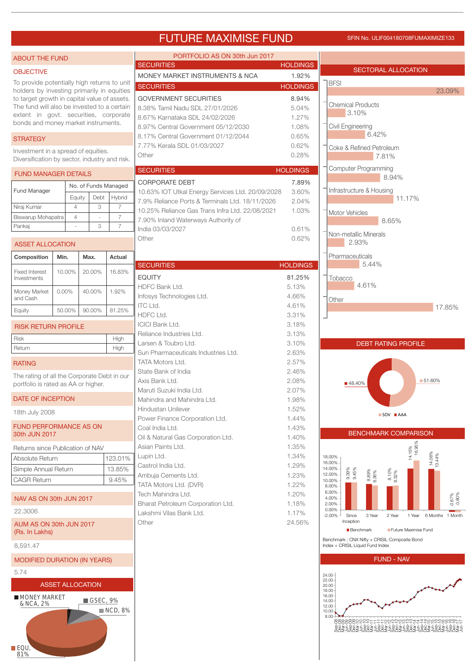### FUTURE MAXIMISE FUND SFIN NO. ULIF004180708FUMAXIMIZE133

| <b>ABOUT THE FUND</b>                                                                       |                |        |                                                                 | PORTFOLIO AS ON 30th Jun 2017                                                                      |                                                                                  |                                                                                                                                        |
|---------------------------------------------------------------------------------------------|----------------|--------|-----------------------------------------------------------------|----------------------------------------------------------------------------------------------------|----------------------------------------------------------------------------------|----------------------------------------------------------------------------------------------------------------------------------------|
| <b>OBJECTIVE</b>                                                                            |                |        |                                                                 | SECURITIES                                                                                         | <b>HOLDINGS</b>                                                                  | <b>SECTORAL ALLOCATION</b>                                                                                                             |
| To provide potentially high returns to unit                                                 |                |        |                                                                 | MONEY MARKET INSTRUMENTS & NCA<br><b>SECURITIES</b>                                                | 1.92%<br><b>HOLDINGS</b>                                                         | <b>BFSI</b>                                                                                                                            |
| holders by investing primarily in equities                                                  |                |        |                                                                 |                                                                                                    |                                                                                  | 23.09%                                                                                                                                 |
| to target growth in capital value of assets.<br>The fund will also be invested to a certain |                |        | <b>GOVERNMENT SECURITIES</b><br>8.38% Tamil Nadu SDL 27/01/2026 | 8.94%<br>5.04%                                                                                     | <b>Chemical Products</b>                                                         |                                                                                                                                        |
| extent in govt. securities, corporate                                                       |                |        | 8.67% Karnataka SDL 24/02/2026                                  | 1.27%                                                                                              | 3.10%                                                                            |                                                                                                                                        |
| bonds and money market instruments.                                                         |                |        |                                                                 | 8.97% Central Government 05/12/2030                                                                | 1.08%                                                                            | Civil Engineering                                                                                                                      |
| <b>STRATEGY</b>                                                                             |                |        |                                                                 | 8.17% Central Government 01/12/2044                                                                | 0.65%                                                                            | 6.42%                                                                                                                                  |
| Investment in a spread of equities.                                                         |                |        |                                                                 | 7.77% Kerala SDL 01/03/2027                                                                        | 0.62%                                                                            | Coke & Refined Petroleum                                                                                                               |
| Diversification by sector, industry and risk.                                               |                |        |                                                                 | Other                                                                                              | 0.28%                                                                            | 7.81%                                                                                                                                  |
| <b>FUND MANAGER DETAILS</b>                                                                 |                |        |                                                                 | <b>SECURITIES</b>                                                                                  | <b>HOLDINGS</b>                                                                  | <b>Computer Programming</b><br>8.94%                                                                                                   |
|                                                                                             |                |        | No. of Funds Managed                                            | <b>CORPORATE DEBT</b>                                                                              | 7.89%                                                                            |                                                                                                                                        |
| Fund Manager                                                                                | Equity         |        | Hybrid<br>Debt                                                  | 10.63% IOT Utkal Energy Services Ltd. 20/09/2028                                                   | 3.60%                                                                            | Infrastructure & Housing<br>11.17%                                                                                                     |
| Niraj Kumar                                                                                 | $\overline{4}$ |        | 3<br>$\overline{7}$                                             | 7.9% Reliance Ports & Terminals Ltd. 18/11/2026<br>10.25% Reliance Gas Trans Infra Ltd, 22/08/2021 | 2.04%<br>1.03%                                                                   |                                                                                                                                        |
| Biswarup Mohapatra                                                                          | $\overline{4}$ |        | $\overline{7}$<br>$\sim$                                        | 7.90% Inland Waterways Authority of                                                                |                                                                                  | Motor Vehicles<br>8.65%                                                                                                                |
| Pankaj                                                                                      |                |        | $\overline{7}$<br>3                                             | India 03/03/2027                                                                                   | 0.61%                                                                            |                                                                                                                                        |
| <b>ASSET ALLOCATION</b>                                                                     |                |        |                                                                 | Other                                                                                              | 0.62%                                                                            | Non-metallic Minerals<br>2.93%                                                                                                         |
| Composition                                                                                 | Min.           | Max.   | Actual                                                          |                                                                                                    |                                                                                  | Pharmaceuticals                                                                                                                        |
|                                                                                             |                |        |                                                                 | <b>SECURITIES</b>                                                                                  | <b>HOLDINGS</b>                                                                  | 5.44%                                                                                                                                  |
| <b>Fixed Interest</b><br>Investments                                                        | 10.00%         | 20.00% | 16.83%                                                          | <b>EQUITY</b>                                                                                      | 81.25%                                                                           | Tobacco                                                                                                                                |
|                                                                                             |                |        |                                                                 | HDFC Bank Ltd.                                                                                     | 5.13%                                                                            | 4.61%                                                                                                                                  |
| Money Market<br>and Cash                                                                    | $0.00\%$       | 40.00% | 1.92%                                                           | Infosys Technologies Ltd.                                                                          | 4.66%                                                                            | Other                                                                                                                                  |
| Equity                                                                                      | 50.00%         | 90.00% | 81.25%                                                          | <b>ITC Ltd.</b>                                                                                    | 4.61%                                                                            | 17.85%                                                                                                                                 |
|                                                                                             |                |        |                                                                 | HDFC Ltd.<br><b>ICICI Bank Ltd.</b>                                                                | 3.31%<br>3.18%                                                                   |                                                                                                                                        |
| <b>RISK RETURN PROFILE</b>                                                                  |                |        |                                                                 | Reliance Industries Ltd.                                                                           | 3.13%                                                                            |                                                                                                                                        |
| Risk                                                                                        |                |        | High                                                            | Larsen & Toubro Ltd.                                                                               | 3.10%                                                                            | <b>DEBT RATING PROFILE</b>                                                                                                             |
| Return                                                                                      |                |        | High                                                            | Sun Pharmaceuticals Industries Ltd.                                                                | 2.63%                                                                            |                                                                                                                                        |
| <b>RATING</b>                                                                               |                |        |                                                                 | <b>TATA Motors Ltd.</b>                                                                            | 2.57%                                                                            |                                                                                                                                        |
| The rating of all the Corporate Debt in our                                                 |                |        |                                                                 | State Bank of India<br>Axis Bank Ltd.                                                              | 2.46%<br>2.08%                                                                   | ■ 51.60%                                                                                                                               |
| portfolio is rated as AA or higher.                                                         |                |        |                                                                 | Maruti Suzuki India Ltd.                                                                           | 2.07%                                                                            | ■48.40%                                                                                                                                |
| DATE OF INCEPTION                                                                           |                |        |                                                                 | Mahindra and Mahindra Ltd.                                                                         | 1.98%                                                                            |                                                                                                                                        |
| 18th July 2008                                                                              |                |        |                                                                 | Hindustan Unilever                                                                                 | 1.52%                                                                            | SOV AAA                                                                                                                                |
| <b>FUND PERFORMANCE AS ON</b>                                                               |                |        |                                                                 | Power Finance Corporation Ltd.                                                                     | 1.44%                                                                            |                                                                                                                                        |
| 30th JUN 2017                                                                               |                |        |                                                                 | Coal India Ltd.<br>Oil & Natural Gas Corporation Ltd.                                              | 1.43%<br>1.40%                                                                   | <b>BENCHMARK COMPARISON</b>                                                                                                            |
| Returns since Publication of NAV                                                            |                |        |                                                                 | Asian Paints Ltd.                                                                                  | 1.35%                                                                            |                                                                                                                                        |
| Absolute Return                                                                             |                |        | 123.01%                                                         | Lupin Ltd.                                                                                         | 1.34%                                                                            | 14.15%<br>  16.95%<br>14.06%<br>13.44%<br>18.00%                                                                                       |
| Simple Annual Return                                                                        |                |        | 13.85%                                                          | Castrol India Ltd.                                                                                 | 1.29%                                                                            | 16.00%<br>14.00%                                                                                                                       |
| <b>CAGR Return</b>                                                                          |                |        | 9.45%                                                           | Ambuja Cements Ltd.                                                                                | 1.23%                                                                            | 9.39%<br>9.45%<br>$8.10\%$<br>$8.32\%$<br>$8.89\%$<br>$8.36\%$<br>12.00%<br>10.00%                                                     |
|                                                                                             |                |        |                                                                 | TATA Motors Ltd. (DVR)<br>Tech Mahindra Ltd.                                                       | 1.22%<br>1.20%                                                                   | 8.00%<br>6.00%                                                                                                                         |
| NAV AS ON 30th JUN 2017                                                                     |                |        |                                                                 | Bharat Petroleum Corporation Ltd.                                                                  | 1.18%                                                                            | $-0.67\%$<br>4.00%<br>2.00%                                                                                                            |
| 22,3006                                                                                     |                |        |                                                                 | Lakshmi Vilas Bank Ltd.                                                                            | 1.17%                                                                            | 0.00%<br>$-2.00%$<br>3 Year<br>Since<br>2 Year<br>6 Months 1 Month<br>1 Year                                                           |
| AUM AS ON 30th JUN 2017<br>(Rs. In Lakhs)                                                   |                |        |                                                                 | Other                                                                                              | 24.56%                                                                           | Inception<br><b>Benchmark</b><br>Future Maximise Fund                                                                                  |
| 8,591.47                                                                                    |                |        |                                                                 |                                                                                                    | Benchmark: CNX Nifty + CRISIL Composite Bond<br>Index + CRISIL Liquid Fund Index |                                                                                                                                        |
| <b>MODIFIED DURATION (IN YEARS)</b>                                                         |                |        |                                                                 |                                                                                                    |                                                                                  | <b>FUND - NAV</b>                                                                                                                      |
| 5.74                                                                                        |                |        |                                                                 |                                                                                                    |                                                                                  | 24.00                                                                                                                                  |
|                                                                                             |                |        |                                                                 |                                                                                                    |                                                                                  | 22.00<br>20.00                                                                                                                         |
| <b>ASSET ALLOCATION</b><br><b>MONEY MARKET</b>                                              |                |        |                                                                 |                                                                                                    |                                                                                  | 18.00<br>16.00                                                                                                                         |
| & NCA, 2%                                                                                   |                |        | GSEC, 9%                                                        |                                                                                                    |                                                                                  | 14.00<br>12.00                                                                                                                         |
| $\blacksquare$ EQU,                                                                         |                |        | ■ NCD, 8%                                                       |                                                                                                    |                                                                                  | 10.00<br>$8.00 -$<br>88888885555111122888888811118888888<br>ۮ؇؋ۣڂ؋ٷڂڮۄٷڂۮۼۄٷڂڂ؋ٷڂڂۿۉڂڂۿۉڂڂۿۉڂڿۿڟ<br>ۿۿڂڿۿڟڿۼۿڟڿۼۿڟڲڂۿڟڲٵۿڟػۼۿڟڲٵۿڟڲٵۿڟ |
| 81%                                                                                         |                |        |                                                                 |                                                                                                    |                                                                                  |                                                                                                                                        |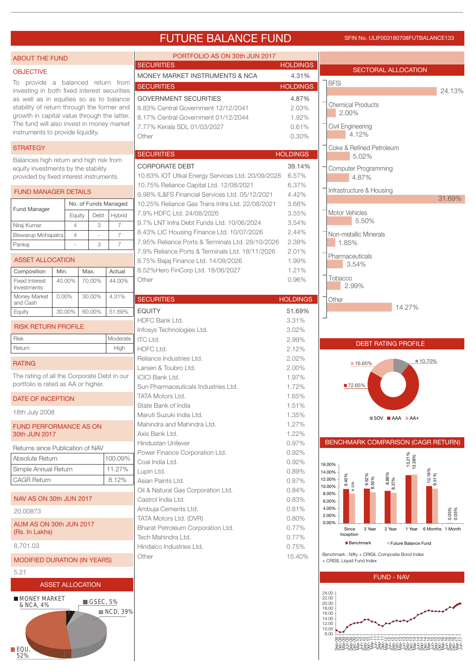### FUTURE BALANCE FUND SFIN NO. ULIF003180708FUTBALANCE133

| <b>ABOUT THE FUND</b>                                                                  |                         |                |                         |                      | PORTFOLIO AS ON 30th JUN 2017                                                                       |                          |                                                                                                 |  |  |
|----------------------------------------------------------------------------------------|-------------------------|----------------|-------------------------|----------------------|-----------------------------------------------------------------------------------------------------|--------------------------|-------------------------------------------------------------------------------------------------|--|--|
| <b>OBJECTIVE</b>                                                                       |                         |                |                         |                      | <b>SECURITIES</b><br>MONEY MARKET INSTRUMENTS & NCA                                                 | <b>HOLDINGS</b><br>4.31% | SECTORAL ALLOCATION                                                                             |  |  |
| To provide a balanced return from                                                      |                         |                |                         |                      | <b>SECURITIES</b>                                                                                   | <b>HOLDINGS</b>          | <b>BFSI</b>                                                                                     |  |  |
| investing in both fixed interest securities<br>as well as in equities so as to balance |                         |                |                         |                      |                                                                                                     |                          | 24.13%                                                                                          |  |  |
| stability of return through the former and                                             |                         |                |                         |                      | <b>GOVERNMENT SECURITIES</b><br>8.83% Central Government 12/12/2041                                 | 4.87%<br>2.03%           | <b>Chemical Products</b>                                                                        |  |  |
| growth in capital value through the latter.                                            |                         |                |                         |                      | 8.17% Central Government 01/12/2044                                                                 | 1.92%                    | 2.00%                                                                                           |  |  |
| The fund will also invest in money market                                              |                         |                |                         |                      | 7.77% Kerala SDL 01/03/2027                                                                         | 0.61%                    | Civil Engineering                                                                               |  |  |
| instruments to provide liquidity.                                                      |                         |                |                         |                      | Other                                                                                               | 0.30%                    | 4.12%                                                                                           |  |  |
| <b>STRATEGY</b>                                                                        |                         |                |                         |                      |                                                                                                     |                          | Coke & Refined Petroleum                                                                        |  |  |
| Balances high return and high risk from                                                |                         |                |                         |                      | <b>SECURITIES</b>                                                                                   | <b>HOLDINGS</b>          | 5.02%                                                                                           |  |  |
| equity investments by the stability                                                    |                         |                |                         |                      | CORPORATE DEBT                                                                                      | 39.14%                   | <b>Computer Programming</b>                                                                     |  |  |
| provided by fixed interest instruments.                                                |                         |                |                         |                      | 10.63% IOT Utkal Energy Services Ltd. 20/09/2028<br>10.75% Reliance Capital Ltd. 12/08/2021         | 6.57%<br>6.37%           | 4.87%                                                                                           |  |  |
| <b>FUND MANAGER DETAILS</b>                                                            |                         |                |                         |                      | 9.98% IL&FS Financial Services Ltd. 05/12/2021                                                      | 4.42%                    | Infrastructure & Housing                                                                        |  |  |
|                                                                                        |                         |                |                         | No. of Funds Managed | 10.25% Reliance Gas Trans Infra Ltd. 22/08/2021                                                     | 3.68%                    | 31.69%                                                                                          |  |  |
| Fund Manager                                                                           |                         | Equity         | Debt                    | Hybrid               | 7.9% HDFC Ltd. 24/08/2026                                                                           | 3.55%                    | Motor Vehicles                                                                                  |  |  |
| Niraj Kumar                                                                            |                         | $\overline{4}$ | 3                       | $\overline{7}$       | 9.7% LNT Infra Debt Funds Ltd. 10/06/2024                                                           | 3.54%                    | 5.50%                                                                                           |  |  |
| Biswarup Mohapatra                                                                     |                         | $\overline{4}$ |                         | $\overline{7}$       | 8.43% LIC Housing Finance Ltd. 10/07/2026                                                           | 2.44%                    | Non-metallic Minerals                                                                           |  |  |
| Pankaj                                                                                 |                         |                | 3                       | $\overline{7}$       | 7.95% Reliance Ports & Terminals Ltd. 28/10/2026<br>7.9% Reliance Ports & Terminals Ltd. 18/11/2026 | 2.38%<br>2.01%           | 1.85%                                                                                           |  |  |
| <b>ASSET ALLOCATION</b>                                                                |                         |                |                         |                      | 8.75% Bajaj Finance Ltd. 14/08/2026                                                                 | 1.99%                    | Pharmaceuticals                                                                                 |  |  |
| Composition                                                                            | Min.                    |                | Max.                    | Actual               | 8.52% Hero FinCorp Ltd. 18/06/2027                                                                  | 1.21%                    | 3.54%                                                                                           |  |  |
| <b>Fixed Interest</b><br>Investments                                                   | 40.00%                  |                | 70.00%                  | 44.00%               | Other                                                                                               | 0.96%                    | Tobacco<br>2.99%                                                                                |  |  |
| Money Market<br>and Cash                                                               | 0.00%                   |                | 30.00%                  | 4.31%                | <b>SECURITIES</b>                                                                                   | <b>HOLDINGS</b>          | Other                                                                                           |  |  |
| Equity                                                                                 | 30.00%                  |                | 60.00%                  | 51.69%               | <b>EQUITY</b>                                                                                       | 51.69%                   | 14.27%                                                                                          |  |  |
| <b>RISK RETURN PROFILE</b>                                                             |                         |                |                         |                      | HDFC Bank Ltd.                                                                                      | 3.31%                    |                                                                                                 |  |  |
|                                                                                        |                         |                |                         |                      | Infosys Technologies Ltd.                                                                           | 3.02%                    |                                                                                                 |  |  |
| <b>Risk</b><br>Return                                                                  |                         |                |                         | Moderate<br>High     | ITC Ltd.<br>HDFC Ltd.                                                                               | 2.99%<br>2.12%           | <b>DEBT RATING PROFILE</b>                                                                      |  |  |
|                                                                                        |                         |                |                         |                      | Reliance Industries Ltd.                                                                            | 2.02%                    |                                                                                                 |  |  |
| <b>RATING</b>                                                                          |                         |                |                         |                      | Larsen & Toubro Ltd.                                                                                | 2.00%                    | ■ 10.70%<br>16.65%                                                                              |  |  |
| The rating of all the Corporate Debt in our                                            |                         |                |                         |                      | <b>ICICI Bank Ltd.</b>                                                                              | 1.97%                    |                                                                                                 |  |  |
| portfolio is rated as AA or higher.                                                    |                         |                |                         |                      | Sun Pharmaceuticals Industries Ltd.                                                                 | 1.72%                    | ■72.65%                                                                                         |  |  |
| <b>DATE OF INCEPTION</b>                                                               |                         |                |                         |                      | <b>TATA Motors Ltd.</b>                                                                             | 1.65%                    |                                                                                                 |  |  |
| 18th July 2008                                                                         |                         |                |                         |                      | State Bank of India<br>Maruti Suzuki India Ltd.                                                     | 1.51%<br>1.35%           |                                                                                                 |  |  |
| <b>FUND PERFORMANCE AS ON</b>                                                          |                         |                |                         |                      | Mahindra and Mahindra Ltd.                                                                          | 1.27%                    | $\blacksquare$ SOV $\blacksquare$ AAA $\blacksquare$ AA+                                        |  |  |
| 30th JUN 2017                                                                          |                         |                |                         |                      | Axis Bank Ltd.                                                                                      | 1.22%                    |                                                                                                 |  |  |
| Returns since Publication of NAV                                                       |                         |                |                         |                      | Hindustan Unilever                                                                                  | 0.97%                    | BENCHMARK COMPARISON (CAGR RETURN)                                                              |  |  |
| Absolute Return                                                                        |                         |                |                         | 100.09%              | Power Finance Corporation Ltd.                                                                      | 0.92%                    |                                                                                                 |  |  |
| Simple Annual Return                                                                   |                         |                |                         | 11.27%               | Coal India Ltd.                                                                                     | 0.92%                    | 13.21%<br>13.38%<br>16.00%                                                                      |  |  |
| <b>CAGR Return</b>                                                                     |                         |                |                         | 8.12%                | Lupin Ltd.<br>Asian Paints Ltd.                                                                     | 0.89%<br>0.87%           | $\begin{bmatrix} 10.19\% \\ 9.51\% \end{bmatrix}$<br>14.00%<br>8.89%<br>8.50%<br>.40%<br>12.00% |  |  |
|                                                                                        |                         |                |                         |                      | Oil & Natural Gas Corporation Ltd.                                                                  | 0.84%                    | 12%<br>$\infty$<br>10.00%                                                                       |  |  |
| NAV AS ON 30th JUN 2017                                                                |                         |                |                         |                      | Castrol India Ltd.                                                                                  | 0.83%                    | 8.00%<br>6.00%                                                                                  |  |  |
| 20,00873                                                                               |                         |                |                         |                      | Ambuja Cements Ltd.                                                                                 | 0.81%                    | 4.00%<br>0.05%<br>0.05%                                                                         |  |  |
| AUM AS ON 30th JUN 2017                                                                |                         |                |                         |                      | TATA Motors Ltd. (DVR)                                                                              | 0.80%                    | 2.00%<br>0.00%                                                                                  |  |  |
| (Rs. In Lakhs)                                                                         |                         |                |                         |                      | Bharat Petroleum Corporation Ltd.<br>Tech Mahindra Ltd.                                             | $0.77\%$<br>$0.77\%$     | Since<br>3 Year<br>2 Year<br>1 Year<br>6 Months 1 Month<br>Inception                            |  |  |
| 8,701.03                                                                               |                         |                |                         |                      | Hindalco Industries Ltd.                                                                            | 0.75%                    | <b>Benchmark</b><br>Future Balance Fund                                                         |  |  |
| <b>MODIFIED DURATION (IN YEARS)</b>                                                    |                         |                |                         |                      | Other                                                                                               | 15.40%                   | Benchmark: Nifty + CRISIL Composite Bond Index<br>+ CRISIL Liquid Fund Index                    |  |  |
| 5.21                                                                                   |                         |                |                         |                      |                                                                                                     |                          |                                                                                                 |  |  |
|                                                                                        | <b>ASSET ALLOCATION</b> |                |                         |                      |                                                                                                     |                          | <b>FUND - NAV</b>                                                                               |  |  |
| <b>MONEY MARKET</b><br>& NCA, 4%                                                       |                         |                | $\blacksquare$ GSEC, 5% | ■ NCD, 39%           |                                                                                                     |                          | 24.00<br>22.00<br>20.00<br>18.00<br>16.00<br>14.00<br>12.00<br>10.00                            |  |  |
| $\blacksquare$ EQU<br>52%                                                              |                         |                |                         |                      |                                                                                                     |                          | 8.00<br>QQQOOOO_____wwwwwwwd444wwww00000\\                                                      |  |  |

EQU, 52%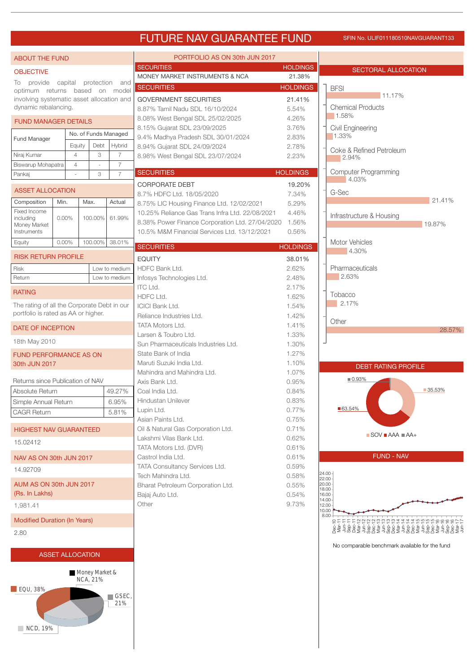### FUTURE NAV GUARANTEE FUND SFIN NO. ULIF011180510NAVGUARANT133

| <b>ABOUT THE FUND</b>                       |         |                         |                                   |                      | PORTFOLIO AS ON 30th JUN 2017                                      |                 |                                                          |  |
|---------------------------------------------|---------|-------------------------|-----------------------------------|----------------------|--------------------------------------------------------------------|-----------------|----------------------------------------------------------|--|
| <b>OBJECTIVE</b>                            |         |                         |                                   |                      | <b>SECURITIES</b>                                                  | <b>HOLDINGS</b> | SECTORAL ALLOCATION                                      |  |
| To provide                                  | capital |                         |                                   | protection and       | MONEY MARKET INSTRUMENTS & NCA                                     | 21.38%          |                                                          |  |
| optimum returns based on model              |         |                         |                                   |                      | <b>SECURITIES</b>                                                  | <b>HOLDINGS</b> | <b>BFSI</b><br>11.17%                                    |  |
| involving systematic asset allocation and   |         |                         |                                   |                      | <b>GOVERNMENT SECURITIES</b>                                       | 21.41%          |                                                          |  |
| dynamic rebalancing.                        |         |                         |                                   |                      | 8.87% Tamil Nadu SDL 16/10/2024                                    | 5.54%           | <b>Chemical Products</b><br>1.58%                        |  |
| <b>FUND MANAGER DETAILS</b>                 |         |                         |                                   |                      | 8.08% West Bengal SDL 25/02/2025                                   | 4.26%           |                                                          |  |
|                                             |         |                         |                                   | No. of Funds Managed | 8.15% Gujarat SDL 23/09/2025                                       | 3.76%           | Civil Engineering<br>1.33%                               |  |
| Fund Manager                                |         | Equity                  | Debt                              | Hybrid               | 9.4% Madhya Pradesh SDL 30/01/2024<br>8.94% Gujarat SDL 24/09/2024 | 2.83%<br>2.78%  |                                                          |  |
| Niraj Kumar                                 |         | $\overline{4}$          | 3                                 | 7                    | 8.98% West Bengal SDL 23/07/2024                                   | 2.23%           | Coke & Refined Petroleum                                 |  |
| Biswarup Mohapatra                          |         | $\overline{4}$          |                                   | $\overline{7}$       |                                                                    |                 | 2.94%                                                    |  |
| Pankaj                                      |         |                         | 3                                 | $\overline{7}$       | <b>SECURITIES</b>                                                  | <b>HOLDINGS</b> | <b>Computer Programming</b>                              |  |
|                                             |         |                         |                                   |                      | <b>CORPORATE DEBT</b>                                              | 19.20%          | 4.03%                                                    |  |
| <b>ASSET ALLOCATION</b>                     |         |                         |                                   |                      | 8.7% HDFC Ltd. 18/05/2020                                          | 7.34%           | G-Sec                                                    |  |
| Composition                                 | Min.    |                         | Max.                              | Actual               | 8.75% LIC Housing Finance Ltd. 12/02/2021                          | 5.29%           | 21.41%                                                   |  |
| Fixed Income<br>including                   | 0.00%   |                         | 100.00%                           | 61.99%               | 10.25% Reliance Gas Trans Infra Ltd. 22/08/2021                    | 4.46%           | Infrastructure & Housing                                 |  |
| Money Market                                |         |                         |                                   |                      | 8.38% Power Finance Corporation Ltd. 27/04/2020                    | 1.56%           | 19.87%                                                   |  |
| Instruments                                 |         |                         |                                   |                      | 10.5% M&M Financial Services Ltd. 13/12/2021                       | 0.56%           |                                                          |  |
| Equity                                      | 0.00%   |                         |                                   | 100.00% 38.01%       | <b>SECURITIES</b>                                                  | <b>HOLDINGS</b> | Motor Vehicles                                           |  |
| <b>RISK RETURN PROFILE</b>                  |         |                         |                                   |                      | <b>EQUITY</b>                                                      | 38.01%          | 4.30%                                                    |  |
| Risk                                        |         |                         |                                   | Low to medium        | HDFC Bank Ltd.                                                     | 2.62%           | Pharmaceuticals                                          |  |
| Return                                      |         |                         |                                   | Low to medium        | Infosys Technologies Ltd.                                          | 2.48%           | 2.63%                                                    |  |
|                                             |         |                         |                                   |                      | <b>ITC Ltd.</b>                                                    | 2.17%           |                                                          |  |
| <b>RATING</b>                               |         |                         |                                   |                      | HDFC Ltd.                                                          | 1.62%           | Tobacco                                                  |  |
| The rating of all the Corporate Debt in our |         |                         |                                   |                      | <b>ICICI Bank Ltd.</b>                                             | 1.54%           | 2.17%                                                    |  |
| portfolio is rated as AA or higher.         |         |                         |                                   |                      | Reliance Industries Ltd.                                           | 1.42%           |                                                          |  |
| DATE OF INCEPTION                           |         |                         |                                   |                      | TATA Motors Ltd.                                                   | 1.41%           | Other                                                    |  |
|                                             |         |                         |                                   |                      | Larsen & Toubro Ltd.                                               | 1.33%           | 28.57%                                                   |  |
| 18th May 2010                               |         |                         |                                   |                      | Sun Pharmaceuticals Industries Ltd.                                | 1.30%           |                                                          |  |
| <b>FUND PERFORMANCE AS ON</b>               |         |                         |                                   |                      | State Bank of India                                                | 1.27%           |                                                          |  |
| 30th JUN 2017                               |         |                         |                                   |                      | Maruti Suzuki India Ltd.                                           | 1.10%           | <b>DEBT RATING PROFILE</b>                               |  |
|                                             |         |                         |                                   |                      | Mahindra and Mahindra Ltd.                                         | 1.07%           | 0.93%                                                    |  |
| Returns since Publication of NAV            |         |                         |                                   |                      | Axis Bank Ltd.                                                     | 0.95%           | 35.53%                                                   |  |
| Absolute Return                             |         |                         |                                   | 49.27%               | Coal India Ltd.<br>Hindustan Unilever                              | 0.84%<br>0.83%  |                                                          |  |
| Simple Annual Return                        |         |                         | 6.95%                             |                      | Lupin Ltd.                                                         | 0.77%           | ■ 63.54%                                                 |  |
| CAGR Return                                 |         |                         |                                   | 5.81%                | Asian Paints Ltd.                                                  | 0.75%           |                                                          |  |
| <b>HIGHEST NAV GUARANTEED</b>               |         |                         |                                   |                      | Oil & Natural Gas Corporation Ltd.                                 | 0.71%           |                                                          |  |
|                                             |         |                         |                                   |                      | Lakshmi Vilas Bank Ltd.                                            | 0.62%           | $\blacksquare$ SOV $\blacksquare$ AAA $\blacksquare$ AA+ |  |
| 15.02412                                    |         |                         |                                   |                      | TATA Motors Ltd. (DVR)                                             | 0.61%           |                                                          |  |
| NAV AS ON 30th JUN 2017                     |         |                         |                                   |                      | Castrol India Ltd.                                                 | 0.61%           | <b>FUND - NAV</b>                                        |  |
| 14.92709                                    |         |                         |                                   |                      | TATA Consultancy Services Ltd.                                     | 0.59%           |                                                          |  |
|                                             |         |                         |                                   |                      | Tech Mahindra Ltd.                                                 | 0.58%           | 24.00<br>22.00                                           |  |
| AUM AS ON 30th JUN 2017                     |         |                         | Bharat Petroleum Corporation Ltd. | 0.55%                | 20.00<br>18.00                                                     |                 |                                                          |  |
| (Rs. In Lakhs)                              |         |                         | Bajaj Auto Ltd.                   | 0.54%                | 16.00<br>14.00                                                     |                 |                                                          |  |
| 1,981.41                                    |         |                         |                                   |                      | Other                                                              | 9.73%           | 12.00<br>10.00                                           |  |
| <b>Modified Duration (In Years)</b>         |         |                         |                                   |                      |                                                                    |                 | 8.00<br><b>FFFQQQQ</b> mood o 4 4 4<br>455566661         |  |
| 2.80                                        |         |                         |                                   |                      |                                                                    |                 |                                                          |  |
|                                             |         |                         |                                   |                      |                                                                    |                 |                                                          |  |
|                                             |         | <b>ASSET ALLOCATION</b> |                                   |                      |                                                                    |                 | No comparable benchmark available for the fund           |  |
|                                             |         |                         |                                   |                      |                                                                    |                 |                                                          |  |
|                                             |         |                         | Money Market &<br>NCA, 21%        |                      |                                                                    |                 |                                                          |  |
| $\Box$ EQU, 38%                             |         |                         |                                   | $\blacksquare$ GSEC, |                                                                    |                 |                                                          |  |
|                                             |         |                         |                                   |                      |                                                                    |                 |                                                          |  |

NCD, 19%

21%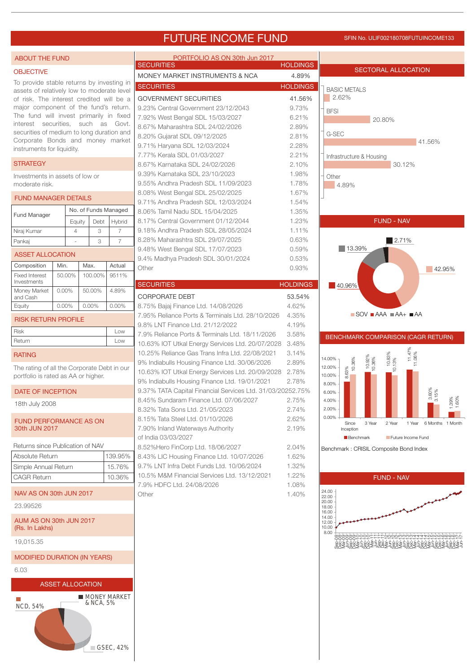## FUTURE INCOME FUND SFIN NO. ULIF002180708FUTUINCOME133

| <b>ABOUT THE FUND</b>                                                            |          |                         |           |                      | PORTFOLIO AS ON 30th Jun 2017<br><b>SECURITIES</b>                                                          | <b>HOLDINGS</b> |                                                                            |
|----------------------------------------------------------------------------------|----------|-------------------------|-----------|----------------------|-------------------------------------------------------------------------------------------------------------|-----------------|----------------------------------------------------------------------------|
| <b>OBJECTIVE</b>                                                                 |          |                         |           |                      | MONEY MARKET INSTRUMENTS & NCA                                                                              | 4.89%           | <b>SECTORAL ALLOCATION</b>                                                 |
| To provide stable returns by investing in                                        |          |                         |           |                      | <b>SECURITIES</b>                                                                                           | <b>HOLDINGS</b> |                                                                            |
| assets of relatively low to moderate level                                       |          |                         |           |                      |                                                                                                             |                 | <b>BASIC METALS</b>                                                        |
| of risk. The interest credited will be a                                         |          |                         |           |                      | <b>GOVERNMENT SECURITIES</b>                                                                                | 41.56%          | 2.62%                                                                      |
| major component of the fund's return.<br>The fund will invest primarily in fixed |          |                         |           |                      | 9.23% Central Government 23/12/2043                                                                         | 9.73%           | <b>BFSI</b>                                                                |
| interest securities, such as Govt.                                               |          |                         |           |                      | 7.92% West Bengal SDL 15/03/2027                                                                            | 6.21%           | 20.80%                                                                     |
| securities of medium to long duration and                                        |          |                         |           |                      | 8.67% Maharashtra SDL 24/02/2026                                                                            | 2.89%           | G-SEC                                                                      |
| Corporate Bonds and money market                                                 |          |                         |           |                      | 8.20% Gujarat SDL 09/12/2025                                                                                | 2.81%           | 41.56%                                                                     |
| instruments for liquidity.                                                       |          |                         |           |                      | 9.71% Haryana SDL 12/03/2024<br>7.77% Kerala SDL 01/03/2027                                                 | 2.28%<br>2.21%  |                                                                            |
| <b>STRATEGY</b>                                                                  |          |                         |           |                      | 8.67% Karnataka SDL 24/02/2026                                                                              | 2.10%           | Infrastructure & Housing<br>30.12%                                         |
|                                                                                  |          |                         |           |                      | 9.39% Karnataka SDL 23/10/2023                                                                              | 1.98%           |                                                                            |
| Investments in assets of low or<br>moderate risk.                                |          |                         |           |                      | 9.55% Andhra Pradesh SDL 11/09/2023                                                                         | 1.78%           | Other<br>4.89%                                                             |
|                                                                                  |          |                         |           |                      | 8.08% West Bengal SDL 25/02/2025                                                                            | 1.67%           |                                                                            |
| <b>FUND MANAGER DETAILS</b>                                                      |          |                         |           |                      | 9.71% Andhra Pradesh SDL 12/03/2024                                                                         | 1.54%           |                                                                            |
|                                                                                  |          |                         |           | No. of Funds Managed | 8.06% Tamil Nadu SDL 15/04/2025                                                                             | 1.35%           |                                                                            |
| Fund Manager                                                                     |          | Equity                  | Debt      | Hybrid               | 8.17% Central Government 01/12/2044                                                                         | 1.23%           | <b>FUND - NAV</b>                                                          |
| Niraj Kumar                                                                      |          | $\overline{4}$          | 3         | $\overline{7}$       | 9.18% Andhra Pradesh SDL 28/05/2024                                                                         | 1.11%           |                                                                            |
| Pankaj                                                                           |          |                         | 3         | $\overline{7}$       | 8.28% Maharashtra SDL 29/07/2025                                                                            | 0.63%           | $\blacksquare$ 2.71%                                                       |
|                                                                                  |          |                         |           |                      | 9.48% West Bengal SDL 17/07/2023                                                                            | 0.59%           | 13.39%                                                                     |
| <b>ASSET ALLOCATION</b>                                                          |          |                         |           |                      | 9.4% Madhya Pradesh SDL 30/01/2024                                                                          | 0.53%           |                                                                            |
| Composition                                                                      | Min.     |                         | Max.      | Actual               | Other                                                                                                       | 0.93%           | 42.95%                                                                     |
| <b>Fixed Interest</b><br>Investments                                             | 50.00%   |                         | 100.00%   | 9511%                |                                                                                                             |                 |                                                                            |
| Money Market                                                                     | $0.00\%$ |                         | 50.00%    | 4.89%                | <b>SECURITIES</b>                                                                                           | <b>HOLDINGS</b> | $40.96\%$                                                                  |
| and Cash                                                                         |          |                         |           |                      | <b>CORPORATE DEBT</b>                                                                                       | 53.54%          |                                                                            |
| Equity                                                                           | $0.00\%$ |                         | 0.00%     | 0.00%                | 8.75% Bajaj Finance Ltd. 14/08/2026                                                                         | 4.62%           |                                                                            |
| <b>RISK RETURN PROFILE</b>                                                       |          |                         |           |                      | 7.95% Reliance Ports & Terminals Ltd. 28/10/2026                                                            | 4.35%           | $\blacksquare$ SOV $\blacksquare$ AAA $\blacksquare$ AA+ $\blacksquare$ AA |
| <b>Risk</b>                                                                      |          |                         |           | Low                  | 9.8% LNT Finance Ltd. 21/12/2022                                                                            | 4.19%           |                                                                            |
| Return                                                                           |          |                         |           | Low                  | 7.9% Reliance Ports & Terminals Ltd. 18/11/2026                                                             | 3.58%           | BENCHMARK COMPARISON (CAGR RETURN)                                         |
|                                                                                  |          |                         |           |                      | 10.63% IOT Utkal Energy Services Ltd. 20/07/2028                                                            | 3.48%           |                                                                            |
| <b>RATING</b>                                                                    |          |                         |           |                      | 10.25% Reliance Gas Trans Infra Ltd. 22/08/2021                                                             | 3.14%           | $11.47\%$<br>$11.06\%$<br>$10.83\%$<br>$10.13\%$<br>14.00%                 |
| The rating of all the Corporate Debt in our                                      |          |                         |           |                      | 9% Indiabulls Housing Finance Ltd. 30/06/2026                                                               | 2.89%           | 10.92%<br>10.36%<br>10.36%<br>12.00%                                       |
| portfolio is rated as AA or higher.                                              |          |                         |           |                      | 10.63% IOT Utkal Energy Services Ltd. 20/09/2028                                                            | 2.78%           | 8.63%<br>10.00%                                                            |
| <b>DATE OF INCEPTION</b>                                                         |          |                         |           |                      | 9% Indiabulls Housing Finance Ltd. 19/01/2021<br>9.37% TATA Capital Financial Services Ltd. 31/03/20252.75% | 2.78%           | 8.00%                                                                      |
|                                                                                  |          |                         |           |                      | 8.45% Sundaram Finance Ltd. 07/06/2027                                                                      | 2.75%           | 3.15%<br>6.00%<br>4.00%                                                    |
| 18th July 2008                                                                   |          |                         |           |                      | 8.32% Tata Sons Ltd. 21/05/2023                                                                             | 2.74%           | $1.39\%$<br>$1.60\%$<br>2.00%                                              |
|                                                                                  |          |                         |           |                      | 8.15% Tata Steel Ltd, 01/10/2026                                                                            | 2.62%           | 0.00%                                                                      |
| <b>FUND PERFORMANCE AS ON</b><br>30th JUN 2017                                   |          |                         |           |                      | 7.90% Inland Waterways Authority                                                                            | 2.19%           | Since<br>3 Year<br>2 Year<br>6 Months 1 Month<br>1 Year<br>Inception       |
|                                                                                  |          |                         |           |                      | of India 03/03/2027                                                                                         |                 | Benchmark<br>Future Income Fund                                            |
| Returns since Publication of NAV                                                 |          |                         |           |                      | 8.52%Hero FinCorp Ltd. 18/06/2027                                                                           | 2.04%           | Benchmark: CRISIL Composite Bond Index                                     |
| Absolute Return                                                                  |          |                         |           | 139.95%              | 8.43% LIC Housing Finance Ltd. 10/07/2026                                                                   | 1.62%           |                                                                            |
| Simple Annual Return                                                             |          |                         |           | 15.76%               | 9.7% LNT Infra Debt Funds Ltd. 10/06/2024                                                                   | 1.32%           |                                                                            |
| <b>CAGR Return</b>                                                               |          |                         |           | 10.36%               | 10.5% M&M Financial Services Ltd. 13/12/2021                                                                | 1.22%           | <b>FUND - NAV</b>                                                          |
|                                                                                  |          |                         |           |                      | 7.9% HDFC Ltd. 24/08/2026                                                                                   | 1.08%           |                                                                            |
| NAV AS ON 30th JUN 2017                                                          |          |                         |           |                      | Other                                                                                                       | 1.40%           | 24.00<br>22.00                                                             |
| 23.99526                                                                         |          |                         |           |                      |                                                                                                             |                 | 20.00<br>18.00                                                             |
|                                                                                  |          |                         |           |                      |                                                                                                             |                 | 16.00<br>14.00                                                             |
| AUM AS ON 30th JUN 2017<br>(Rs. In Lakhs)                                        |          |                         |           |                      |                                                                                                             |                 | 12.00<br>10.00                                                             |
|                                                                                  |          |                         |           |                      |                                                                                                             |                 | 8.00<br>)QQQOOOO______wwwwwww4444wwww00000\                                |
| 19,015.35                                                                        |          |                         |           |                      |                                                                                                             |                 | 0023300233002350023500239023300                                            |
| <b>MODIFIED DURATION (IN YEARS)</b>                                              |          |                         |           |                      |                                                                                                             |                 |                                                                            |
| 6.03                                                                             |          |                         |           |                      |                                                                                                             |                 |                                                                            |
|                                                                                  |          |                         |           |                      |                                                                                                             |                 |                                                                            |
|                                                                                  |          | <b>ASSET ALLOCATION</b> |           |                      |                                                                                                             |                 |                                                                            |
|                                                                                  |          |                         | & NCA, 5% | <b>MONEY MARKET</b>  |                                                                                                             |                 |                                                                            |
| <b>NCD, 54%</b>                                                                  |          |                         |           |                      |                                                                                                             |                 |                                                                            |
|                                                                                  |          |                         |           |                      |                                                                                                             |                 |                                                                            |
|                                                                                  |          |                         |           |                      |                                                                                                             |                 |                                                                            |
|                                                                                  |          |                         |           |                      |                                                                                                             |                 |                                                                            |
| GSEC, 42%                                                                        |          |                         |           |                      |                                                                                                             |                 |                                                                            |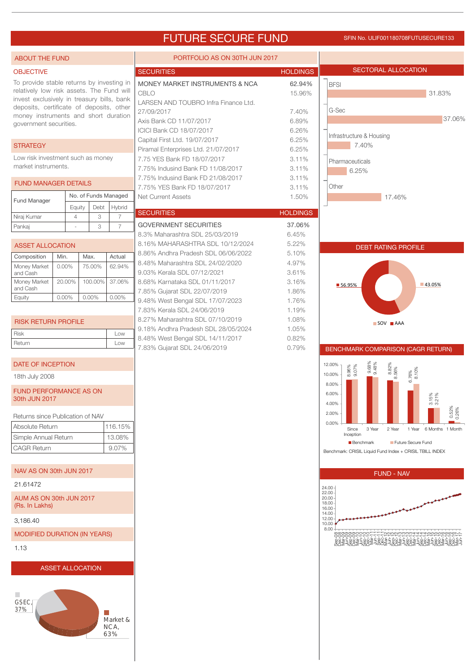### FUTURE SECURE FUND SFIN NO. ULIF001180708FUTUSECURE133

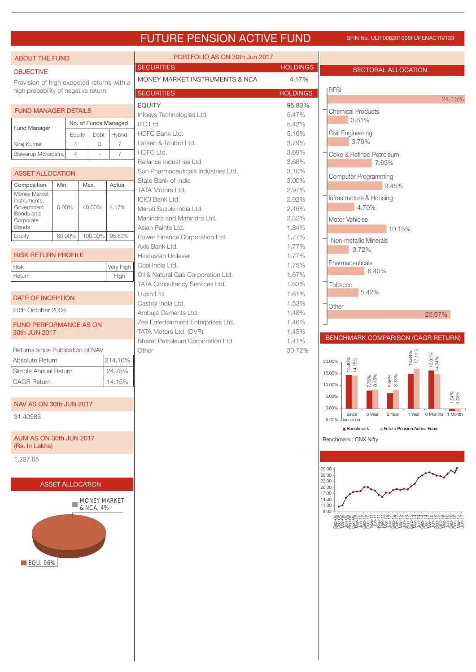## FUTURE PENSION ACTIVE FUND SFIN NO. ULIF008201008FUPENACTIV133

| <b>ABOUT THE FUND</b>                          |                         |                      |           |                     | PORTFOLIO AS ON 30th Jun 2017                             |                 |                                                                                                                                     |  |  |
|------------------------------------------------|-------------------------|----------------------|-----------|---------------------|-----------------------------------------------------------|-----------------|-------------------------------------------------------------------------------------------------------------------------------------|--|--|
| <b>OBJECTIVE</b>                               |                         |                      |           |                     | <b>SECURITIES</b>                                         | <b>HOLDINGS</b> | SECTORAL ALLOCATION                                                                                                                 |  |  |
| Provision of high expected returns with a      |                         |                      |           |                     | MONEY MARKET INSTRUMENTS & NCA<br>4.17%                   |                 |                                                                                                                                     |  |  |
| high probability of negative return.           |                         |                      |           |                     | <b>SECURITIES</b>                                         | <b>HOLDINGS</b> | <b>BFSI</b>                                                                                                                         |  |  |
|                                                |                         |                      |           |                     | <b>EQUITY</b>                                             | 95.83%          | 24.15%                                                                                                                              |  |  |
| <b>FUND MANAGER DETAILS</b>                    |                         |                      |           |                     | Infosys Technologies Ltd.                                 | 5.47%           | <b>Chemical Products</b><br>3.61%                                                                                                   |  |  |
| <b>Fund Manager</b>                            |                         | No. of Funds Managed |           |                     | <b>ITC Ltd.</b>                                           | 5.42%           |                                                                                                                                     |  |  |
|                                                |                         | Equity               | Debt      | Hybrid              | HDFC Bank Ltd.                                            | 5.16%           | Civil Engineering<br>3.79%                                                                                                          |  |  |
| Niraj Kumar                                    | $\overline{4}$          |                      | 3         | $\overline{7}$      | Larsen & Toubro Ltd.<br>HDFC Ltd.                         | 3.79%<br>3.69%  |                                                                                                                                     |  |  |
| Biswarup Mohapatra                             | $\overline{4}$          |                      | ÷.        | $\overline{7}$      | Reliance Industries Ltd.                                  | 3.68%           | Coke & Refined Petroleum<br>7.63%                                                                                                   |  |  |
| <b>ASSET ALLOCATION</b>                        |                         |                      |           |                     | Sun Pharmaceuticals Industries Ltd.                       | 3.10%           |                                                                                                                                     |  |  |
| Composition                                    | Min.                    | Max.                 |           | Actual              | State Bank of India                                       | 3.00%           | <b>Computer Programming</b>                                                                                                         |  |  |
| Money Market                                   |                         |                      |           |                     | TATA Motors Ltd.                                          | 2.97%           | 9.45%                                                                                                                               |  |  |
| Instruments,                                   |                         |                      |           |                     | <b>ICICI Bank Ltd.</b>                                    | 2.92%           | Infrastructure & Housing                                                                                                            |  |  |
| Government<br>Bonds and                        | $0.00\%$                |                      | 40.00%    | 4.17%               | Maruti Suzuki India Ltd.                                  | 2.46%           | 4.70%                                                                                                                               |  |  |
| Corporate<br><b>Bonds</b>                      |                         |                      |           |                     | Mahindra and Mahindra Ltd.                                | 2.32%           | <b>Motor Vehicles</b>                                                                                                               |  |  |
| Equity                                         | 60.00%                  |                      | 100.00%   | 95.83%              | Asian Paints Ltd.<br>Power Finance Corporation Ltd.       | 1.84%<br>1.77%  | 10.15%                                                                                                                              |  |  |
|                                                |                         |                      |           |                     | Axis Bank Ltd.                                            | 1.77%           | Non-metallic Minerals                                                                                                               |  |  |
| <b>RISK RETURN PROFILE</b>                     |                         |                      |           |                     | Hindustan Unilever                                        | 1.77%           | 3.72%                                                                                                                               |  |  |
| <b>Risk</b>                                    |                         |                      |           | Very High           | Coal India Ltd.                                           | 1.75%           | Pharmaceuticals                                                                                                                     |  |  |
| Return                                         |                         |                      |           | High                | Oil & Natural Gas Corporation Ltd.                        | 1.67%           | 6.40%                                                                                                                               |  |  |
|                                                |                         |                      |           |                     | TATA Consultancy Services Ltd.                            | 1.63%           | Tobacco                                                                                                                             |  |  |
| DATE OF INCEPTION                              |                         |                      |           |                     | Lupin Ltd.                                                | 1.61%           | 5.42%                                                                                                                               |  |  |
| 20th October 2008                              |                         |                      |           |                     | Castrol India Ltd.                                        | 1.53%           | Other                                                                                                                               |  |  |
|                                                |                         |                      |           |                     | Ambuja Cements Ltd.<br>Zee Entertainment Enterprises Ltd. | 1.48%<br>1.46%  | 20.97%                                                                                                                              |  |  |
| <b>FUND PERFORMANCE AS ON</b><br>30th JUN 2017 |                         |                      |           |                     | TATA Motors Ltd. (DVR)                                    | 1.45%           |                                                                                                                                     |  |  |
|                                                |                         |                      |           |                     | Bharat Petroleum Corporation Ltd.                         | 1.41%           | BENCHMARK COMPARISON (CAGR RETURN)                                                                                                  |  |  |
| Returns since Publication of NAV               |                         |                      |           |                     | Other                                                     | 30.72%          |                                                                                                                                     |  |  |
| Absolute Return                                |                         |                      |           | 214.10%             |                                                           |                 | 14.88%<br>17.11%<br>$\begin{array}{ c c }\n\hline\n16.31\% \\ \hline\n14.74\% \\ \hline\n\end{array}$<br>14.40%<br>14.15%<br>20.00% |  |  |
| Simple Annual Return                           |                         |                      |           | 24.75%              |                                                           |                 | 15.00%                                                                                                                              |  |  |
| <b>CAGR Return</b>                             |                         |                      |           | 14.15%              |                                                           |                 | 7.75%<br>8.15%<br>$6.66\%$<br>$8.13\%$<br>10.00%                                                                                    |  |  |
|                                                |                         |                      |           |                     |                                                           |                 | 5.00%                                                                                                                               |  |  |
| NAV AS ON 30th JUN 2017                        |                         |                      |           |                     |                                                           |                 | $-1.04\%$                                                                                                                           |  |  |
| 31.40983                                       |                         |                      |           |                     |                                                           |                 | 0.00%<br>1 Year 6 Months 1 Month<br>Since<br>3 Year<br>2 Year                                                                       |  |  |
|                                                |                         |                      |           |                     |                                                           |                 | $-5.00\%$ - Inception<br>Future Pension Active Fund<br>Benchmark                                                                    |  |  |
| AUM AS ON 30th JUN 2017                        |                         |                      |           |                     |                                                           |                 | Benchmark: CNX Nifty                                                                                                                |  |  |
| (Rs. In Lakhs)                                 |                         |                      |           |                     |                                                           |                 |                                                                                                                                     |  |  |
| 1,227.05                                       |                         |                      |           |                     |                                                           |                 |                                                                                                                                     |  |  |
|                                                |                         |                      |           |                     |                                                           |                 | 29.00                                                                                                                               |  |  |
|                                                |                         |                      |           |                     |                                                           |                 | 26.00<br>23.00                                                                                                                      |  |  |
|                                                | <b>ASSET ALLOCATION</b> |                      |           |                     |                                                           |                 | 20.00<br>17.00                                                                                                                      |  |  |
|                                                |                         |                      |           | <b>MONEY MARKET</b> |                                                           |                 | 14.00                                                                                                                               |  |  |
|                                                |                         |                      | & NCA, 4% |                     |                                                           |                 | 11.00<br>8.00                                                                                                                       |  |  |
|                                                |                         |                      |           |                     |                                                           |                 |                                                                                                                                     |  |  |
|                                                |                         |                      |           |                     |                                                           |                 |                                                                                                                                     |  |  |
|                                                |                         |                      |           |                     |                                                           |                 |                                                                                                                                     |  |  |
|                                                |                         |                      |           |                     |                                                           |                 |                                                                                                                                     |  |  |
| <b>EQU, 96%</b>                                |                         |                      |           |                     |                                                           |                 |                                                                                                                                     |  |  |
|                                                |                         |                      |           |                     |                                                           |                 |                                                                                                                                     |  |  |
|                                                |                         |                      |           |                     |                                                           |                 |                                                                                                                                     |  |  |
|                                                |                         |                      |           |                     |                                                           |                 |                                                                                                                                     |  |  |
|                                                |                         |                      |           |                     |                                                           |                 |                                                                                                                                     |  |  |
|                                                |                         |                      |           |                     |                                                           |                 |                                                                                                                                     |  |  |
|                                                |                         |                      |           |                     |                                                           |                 |                                                                                                                                     |  |  |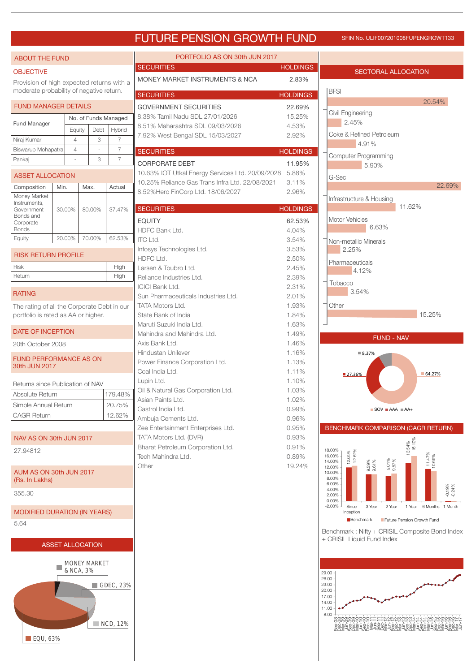## FUTURE PENSION GROWTH FUND SFIN NO. ULIF007201008FUPENGROWT133

| <b>ABOUT THE FUND</b>                          |        |                                  |        |                      | PORTFOLIO AS ON 30th JUN 2017                               |                 |                                                                                                        |
|------------------------------------------------|--------|----------------------------------|--------|----------------------|-------------------------------------------------------------|-----------------|--------------------------------------------------------------------------------------------------------|
| <b>OBJECTIVE</b>                               |        |                                  |        |                      | <b>SECURITIES</b>                                           | <b>HOLDINGS</b> | <b>SECTORAL ALLOCATION</b>                                                                             |
| Provision of high expected returns with a      |        |                                  |        |                      | MONEY MARKET INSTRUMENTS & NCA                              | 2.83%           |                                                                                                        |
| moderate probability of negative return.       |        |                                  |        |                      | <b>SECURITIES</b>                                           | <b>HOLDINGS</b> | <b>BFSI</b>                                                                                            |
| <b>FUND MANAGER DETAILS</b>                    |        |                                  |        |                      | <b>GOVERNMENT SECURITIES</b>                                | 22.69%          | 20.54%                                                                                                 |
|                                                |        |                                  |        | No. of Funds Managed | 8.38% Tamil Nadu SDL 27/01/2026                             | 15.25%          | Civil Engineering                                                                                      |
| <b>Fund Manager</b>                            |        | Equity                           | Debt   | Hybrid               | 8.51% Maharashtra SDL 09/03/2026                            | 4.53%           | 2.45%                                                                                                  |
| Niraj Kumar                                    |        | $\overline{4}$                   | 3      | $\overline{7}$       | 7.92% West Bengal SDL 15/03/2027                            | 2.92%           | Coke & Refined Petroleum<br>4.91%                                                                      |
| Biswarup Mohapatra                             |        | $\overline{4}$                   |        | $\overline{7}$       | <b>SECURITIES</b>                                           | <b>HOLDINGS</b> | <b>Computer Programming</b>                                                                            |
| Pankaj                                         |        |                                  | 3      | $\overline{7}$       | <b>CORPORATE DEBT</b>                                       | 11.95%          | 5.90%                                                                                                  |
| <b>ASSET ALLOCATION</b>                        |        |                                  |        |                      | 10.63% IOT Utkal Energy Services Ltd. 20/09/2028            | 5.88%           | G-Sec                                                                                                  |
| Composition                                    | Min.   |                                  | Max.   | Actual               | 10.25% Reliance Gas Trans Infra Ltd. 22/08/2021             | 3.11%           | 22.69%                                                                                                 |
| Money Market                                   |        |                                  |        |                      | 8.52%Hero FinCorp Ltd. 18/06/2027                           | 2.96%           | Infrastructure & Housing                                                                               |
| Instruments,<br>Government                     | 30.00% |                                  | 80.00% | 37.47%               | <b>SECURITIES</b>                                           | <b>HOLDINGS</b> | 11.62%                                                                                                 |
| Bonds and<br>Corporate                         |        |                                  |        |                      | <b>EQUITY</b>                                               | 62.53%          | Motor Vehicles                                                                                         |
| <b>Bonds</b>                                   |        |                                  |        |                      | HDFC Bank Ltd.                                              | 4.04%           | 6.63%                                                                                                  |
| Equity                                         | 20.00% |                                  | 70.00% | 62.53%               | <b>ITC Ltd.</b>                                             | 3.54%           | Non-metallic Minerals                                                                                  |
| <b>RISK RETURN PROFILE</b>                     |        |                                  |        |                      | Infosys Technologies Ltd.                                   | 3.53%           | 2.25%                                                                                                  |
| <b>Risk</b>                                    |        |                                  |        | High                 | HDFC Ltd.                                                   | 2.50%           | Pharmaceuticals                                                                                        |
| Return                                         |        |                                  |        | High                 | Larsen & Toubro Ltd.<br>Reliance Industries Ltd.            | 2.45%<br>2.39%  | 4.12%                                                                                                  |
|                                                |        |                                  |        |                      | <b>ICICI Bank Ltd.</b>                                      | 2.31%           | Tobacco                                                                                                |
| <b>RATING</b>                                  |        |                                  |        |                      | Sun Pharmaceuticals Industries Ltd.                         | 2.01%           | 3.54%                                                                                                  |
| The rating of all the Corporate Debt in our    |        |                                  |        |                      | <b>TATA Motors Ltd.</b>                                     | 1.93%           | Other                                                                                                  |
| portfolio is rated as AA or higher.            |        |                                  |        |                      | State Bank of India                                         | 1.84%           | 15.25%                                                                                                 |
| <b>DATE OF INCEPTION</b>                       |        |                                  |        |                      | Maruti Suzuki India Ltd.<br>Mahindra and Mahindra Ltd.      | 1.63%<br>1.49%  |                                                                                                        |
| 20th October 2008                              |        |                                  |        |                      | Axis Bank Ltd.                                              | 1.46%           | <b>FUND - NAV</b>                                                                                      |
|                                                |        |                                  |        |                      | <b>Hindustan Unilever</b>                                   | 1.16%           | ■8.37%                                                                                                 |
| <b>FUND PERFORMANCE AS ON</b><br>30th JUN 2017 |        |                                  |        |                      | Power Finance Corporation Ltd.                              | 1.13%           |                                                                                                        |
|                                                |        |                                  |        |                      | Coal India Ltd.                                             | 1.11%           | 64.27%<br>■ 27.36%                                                                                     |
| Returns since Publication of NAV               |        |                                  |        |                      | Lupin Ltd.<br>Oil & Natural Gas Corporation Ltd.            | 1.10%<br>1.03%  |                                                                                                        |
| Absolute Return                                |        |                                  |        | 179.48%              | Asian Paints Ltd.                                           | 1.02%           |                                                                                                        |
| Simple Annual Return                           |        |                                  |        | 20.75%               | Castrol India Ltd.                                          | 0.99%           | $\blacksquare$ SOV $\blacksquare$ AAA $\blacksquare$ AA+                                               |
| <b>CAGR Return</b>                             |        |                                  |        | 12.62%               | Ambuja Cements Ltd.                                         | 0.96%           |                                                                                                        |
|                                                |        |                                  |        |                      | Zee Entertainment Enterprises Ltd.                          | 0.95%           | BENCHMARK COMPARISON (CAGR RETURN)                                                                     |
| NAV AS ON 30th JUN 2017                        |        |                                  |        |                      | TATA Motors Ltd. (DVR)<br>Bharat Petroleum Corporation Ltd. | 0.93%<br>0.91%  | 13.54%<br>16.10%                                                                                       |
| 27.94812                                       |        |                                  |        |                      | Tech Mahindra Ltd.                                          | 0.89%           | 18.00%<br>12.04%<br>12.62%<br>16.00%                                                                   |
|                                                |        |                                  |        |                      | Other                                                       | 19.24%          | $11.47%$<br>$10.66%$<br>$9.01\%$<br>9.87%<br>14.00%<br>9.59%<br>9.61%<br>12.00%                        |
| AUM AS ON 30th JUN 2017<br>(Rs. In Lakhs)      |        |                                  |        |                      |                                                             |                 | 10.00%<br>8.00%                                                                                        |
| 355.30                                         |        |                                  |        |                      |                                                             |                 | 6.00%<br>$-0.19%$<br>$-0.24%$<br>4.00%                                                                 |
|                                                |        |                                  |        |                      |                                                             |                 | 2.00%<br>0.00%                                                                                         |
| <b>MODIFIED DURATION (IN YEARS)</b>            |        |                                  |        |                      |                                                             |                 | $-2.00%$<br>Since<br>3 Year<br>2 Year<br>6 Months 1 Month<br>1 Year<br>Inception                       |
| 5.64                                           |        |                                  |        |                      |                                                             |                 | Future Pension Growth Fund<br>Benchmark                                                                |
|                                                |        |                                  |        |                      |                                                             |                 | Benchmark: Nifty + CRISIL Composite Bond Index                                                         |
|                                                |        | <b>ASSET ALLOCATION</b>          |        |                      |                                                             |                 | + CRISIL Liquid Fund Index                                                                             |
|                                                |        |                                  |        |                      |                                                             |                 |                                                                                                        |
|                                                |        | <b>MONEY MARKET</b><br>& NCA, 3% |        |                      |                                                             |                 | 29.00                                                                                                  |
|                                                |        |                                  |        |                      |                                                             |                 | 26.00                                                                                                  |
|                                                |        |                                  |        | GDEC, 23%            |                                                             |                 | 23.00<br>20.00                                                                                         |
|                                                |        |                                  |        |                      |                                                             |                 | 17.00<br>14.00                                                                                         |
|                                                |        |                                  |        |                      |                                                             |                 | 11.00<br>8.00                                                                                          |
|                                                |        |                                  |        | NCD, 12%             |                                                             |                 | LUUUUWWWW4444MUUUOOOOU-I<br>www.edgoogle.com<br>ۣۣ<br>ۄۣؗۏٷۄؗ۫ۼ؋ۄۄۣ۫ۼ؋ۄۄؘػ؋ۄۼۄۄ؋ۄۄ<br>ۮۄػ؊ۄڂػڞۿڂڲڞۿڂڲڞ |
| $\blacksquare$ EQU, 63%                        |        |                                  |        |                      |                                                             |                 |                                                                                                        |
|                                                |        |                                  |        |                      |                                                             |                 |                                                                                                        |
|                                                |        |                                  |        |                      |                                                             |                 |                                                                                                        |
|                                                |        |                                  |        |                      |                                                             |                 |                                                                                                        |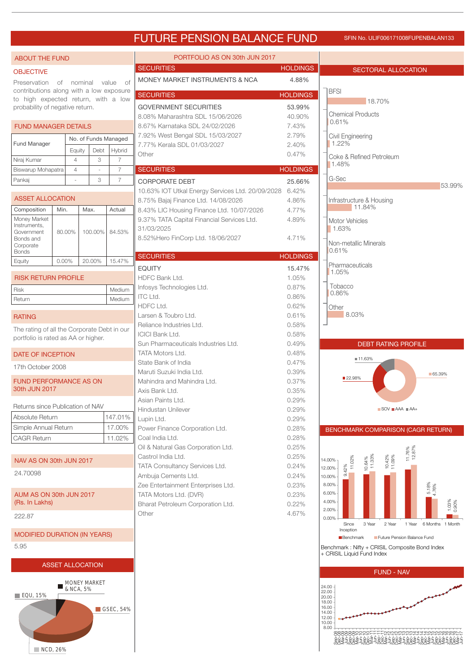## FUTURE PENSION BALANCE FUND SFIN No. ULIF006171008FUPENBALAN133

| <b>ABOUT THE FUND</b>                                                          |          |                                  |                      |                                  | PORTFOLIO AS ON 30th JUN 2017                                   |                 |                                                                                                                                                                                                                                     |
|--------------------------------------------------------------------------------|----------|----------------------------------|----------------------|----------------------------------|-----------------------------------------------------------------|-----------------|-------------------------------------------------------------------------------------------------------------------------------------------------------------------------------------------------------------------------------------|
| <b>OBJECTIVE</b>                                                               |          |                                  |                      |                                  | <b>SECURITIES</b>                                               | <b>HOLDINGS</b> | <b>SECTORAL ALLOCATION</b>                                                                                                                                                                                                          |
| Preservation                                                                   |          |                                  | of nominal value     | 0f                               | MONEY MARKET INSTRUMENTS & NCA                                  | 4.88%           |                                                                                                                                                                                                                                     |
| contributions along with a low exposure<br>to high expected return, with a low |          |                                  |                      |                                  | <b>SECURITIES</b>                                               | <b>HOLDINGS</b> | <b>BFSI</b>                                                                                                                                                                                                                         |
| probability of negative return.                                                |          |                                  |                      |                                  | <b>GOVERNMENT SECURITIES</b>                                    | 53.99%          | 18.70%                                                                                                                                                                                                                              |
|                                                                                |          |                                  |                      |                                  | 8.08% Maharashtra SDL 15/06/2026                                | 40.90%          | <b>Chemical Products</b><br>0.61%                                                                                                                                                                                                   |
| <b>FUND MANAGER DETAILS</b>                                                    |          |                                  |                      |                                  | 8.67% Karnataka SDL 24/02/2026                                  | 7.43%<br>2.79%  |                                                                                                                                                                                                                                     |
| <b>Fund Manager</b>                                                            |          |                                  | No. of Funds Managed |                                  | 7.92% West Bengal SDL 15/03/2027<br>7.77% Kerala SDL 01/03/2027 | 2.40%           | Civil Engineering<br>1.22%                                                                                                                                                                                                          |
|                                                                                |          | Equity                           | Debt                 | Hybrid                           | Other                                                           | 0.47%           | Coke & Refined Petroleum                                                                                                                                                                                                            |
| Niraj Kumar<br>Biswarup Mohapatra                                              |          | $\overline{4}$<br>$\overline{4}$ | 3                    | $\overline{7}$<br>$\overline{7}$ | <b>SECURITIES</b>                                               | <b>HOLDINGS</b> | 1.48%                                                                                                                                                                                                                               |
| Pankaj                                                                         |          |                                  | 3                    | $\overline{7}$                   | <b>CORPORATE DEBT</b>                                           | 25.66%          | G-Sec                                                                                                                                                                                                                               |
|                                                                                |          |                                  |                      |                                  | 10.63% IOT Utkal Energy Services Ltd. 20/09/2028                | 6.42%           | 53.99%                                                                                                                                                                                                                              |
| <b>ASSET ALLOCATION</b>                                                        |          |                                  |                      |                                  | 8.75% Bajaj Finance Ltd. 14/08/2026                             | 4.86%           | Infrastructure & Housing<br>11.84%                                                                                                                                                                                                  |
| Composition<br>Money Market                                                    | Min.     |                                  | Max.                 | Actual                           | 8.43% LIC Housing Finance Ltd. 10/07/2026                       | 4.77%           |                                                                                                                                                                                                                                     |
| Instruments.                                                                   |          |                                  |                      |                                  | 9.37% TATA Capital Financial Services Ltd.<br>31/03/2025        | 4.89%           | Motor Vehicles<br>1.63%                                                                                                                                                                                                             |
| Government<br>Bonds and                                                        | 80.00%   |                                  | 100.00%              | 84.53%                           | 8.52%Hero FinCorp Ltd. 18/06/2027                               | 4.71%           |                                                                                                                                                                                                                                     |
| Corporate<br><b>Bonds</b>                                                      |          |                                  |                      |                                  |                                                                 |                 | Non-metallic Minerals<br>0.61%                                                                                                                                                                                                      |
| Equity                                                                         | $0.00\%$ |                                  | 20.00%               | 15.47%                           | <b>SECURITIES</b>                                               | <b>HOLDINGS</b> | Pharmaceuticals                                                                                                                                                                                                                     |
|                                                                                |          |                                  |                      |                                  | <b>EQUITY</b>                                                   | 15.47%          | 1.05%                                                                                                                                                                                                                               |
| <b>RISK RETURN PROFILE</b>                                                     |          |                                  |                      |                                  | <b>HDFC Bank Ltd.</b><br>Infosys Technologies Ltd.              | 1.05%<br>0.87%  | Tobacco                                                                                                                                                                                                                             |
| <b>Risk</b><br>Return                                                          |          |                                  |                      | Medium<br>Medium                 | ITC Ltd.                                                        | 0.86%           | 0.86%                                                                                                                                                                                                                               |
|                                                                                |          |                                  |                      |                                  | HDFC Ltd.                                                       | 0.62%           | Other                                                                                                                                                                                                                               |
| <b>RATING</b>                                                                  |          |                                  |                      |                                  | Larsen & Toubro Ltd.                                            | 0.61%           | 8.03%                                                                                                                                                                                                                               |
| The rating of all the Corporate Debt in our                                    |          |                                  |                      |                                  | Reliance Industries Ltd.<br><b>ICICI Bank Ltd.</b>              | 0.58%<br>0.58%  |                                                                                                                                                                                                                                     |
| portfolio is rated as AA or higher.                                            |          |                                  |                      |                                  | Sun Pharmaceuticals Industries Ltd.                             | 0.49%           | <b>DEBT RATING PROFILE</b>                                                                                                                                                                                                          |
| DATE OF INCEPTION                                                              |          |                                  |                      |                                  | <b>TATA Motors Ltd.</b>                                         | 0.48%           | ■11.63%                                                                                                                                                                                                                             |
| 17th October 2008                                                              |          |                                  |                      |                                  | State Bank of India<br>Maruti Suzuki India Ltd.                 | 0.47%           |                                                                                                                                                                                                                                     |
| <b>FUND PERFORMANCE AS ON</b>                                                  |          |                                  |                      |                                  | Mahindra and Mahindra Ltd.                                      | 0.39%<br>0.37%  | $-65.39%$<br>■22.98%                                                                                                                                                                                                                |
| 30th JUN 2017                                                                  |          |                                  |                      |                                  | Axis Bank Ltd.                                                  | 0.35%           |                                                                                                                                                                                                                                     |
| Returns since Publication of NAV                                               |          |                                  |                      |                                  | Asian Paints Ltd.                                               | 0.29%           |                                                                                                                                                                                                                                     |
| Absolute Return                                                                |          |                                  |                      | 147.01%                          | Hindustan Unilever<br>Lupin Ltd.                                | 0.29%<br>0.29%  | $\blacksquare$ SOV $\blacksquare$ AAA $\blacksquare$ AA+                                                                                                                                                                            |
| Simple Annual Return                                                           |          |                                  |                      | 17.00%                           | Power Finance Corporation Ltd.                                  | 0.28%           | BENCHMARK COMPARISON (CAGR RETURN)                                                                                                                                                                                                  |
| <b>CAGR Return</b>                                                             |          |                                  |                      | 11.02%                           | Coal India Ltd.                                                 | 0.28%           |                                                                                                                                                                                                                                     |
|                                                                                |          |                                  |                      |                                  | Oil & Natural Gas Corporation Ltd.                              | 0.25%           | 11.76%<br>12.87%                                                                                                                                                                                                                    |
| NAV AS ON 30th JUN 2017                                                        |          |                                  |                      |                                  | Castrol India Ltd.<br>TATA Consultancy Services Ltd.            | 0.25%<br>0.24%  | $10.42\%$<br>11.09%<br>$10.64\%$<br>$11.33\%$<br>11.02%<br>14.00%                                                                                                                                                                   |
| 24.70098                                                                       |          |                                  |                      |                                  | Ambuja Cements Ltd.                                             | 0.24%           | 42%<br>12.00%<br>10.00%                                                                                                                                                                                                             |
|                                                                                |          |                                  |                      |                                  | Zee Entertainment Enterprises Ltd.                              | 0.23%           | 5.18%<br>4.76%<br>8.00%                                                                                                                                                                                                             |
| AUM AS ON 30th JUN 2017                                                        |          |                                  |                      |                                  | TATA Motors Ltd. (DVR)                                          | 0.23%           | 6.00%<br>4.00%                                                                                                                                                                                                                      |
| (Rs. In Lakhs)                                                                 |          |                                  |                      |                                  | Bharat Petroleum Corporation Ltd.<br>Other                      | 0.22%<br>4.67%  | 1.03%<br>0.90%<br>2.00%                                                                                                                                                                                                             |
| 222.87                                                                         |          |                                  |                      |                                  |                                                                 |                 | 0.00%<br>Since<br>3 Year<br>2 Year<br>1 Year<br>6 Months 1 Month                                                                                                                                                                    |
| <b>MODIFIED DURATION (IN YEARS)</b>                                            |          |                                  |                      |                                  |                                                                 |                 | Inception<br>Future Pension Balance Fund                                                                                                                                                                                            |
| 5.95                                                                           |          |                                  |                      |                                  |                                                                 |                 | Benchmark<br>Benchmark: Nifty + CRISIL Composite Bond Index                                                                                                                                                                         |
|                                                                                |          |                                  |                      |                                  |                                                                 |                 | + CRISIL Liquid Fund Index                                                                                                                                                                                                          |
| <b>ASSET ALLOCATION</b>                                                        |          |                                  |                      |                                  |                                                                 |                 | <b>FUND - NAV</b>                                                                                                                                                                                                                   |
| <b>MONEY MARKET</b>                                                            |          |                                  |                      |                                  |                                                                 |                 |                                                                                                                                                                                                                                     |
| & NCA, 5%<br>$\blacksquare$ EQU, 15%                                           |          |                                  |                      |                                  |                                                                 |                 | 24.00<br>22.00                                                                                                                                                                                                                      |
|                                                                                |          |                                  |                      |                                  |                                                                 |                 | 20.00<br>18.00<br>16.00                                                                                                                                                                                                             |
|                                                                                |          |                                  |                      | GSEC, 54%                        |                                                                 |                 | 14.00<br>12.00                                                                                                                                                                                                                      |
|                                                                                |          |                                  |                      |                                  |                                                                 |                 | 10.00<br>8.00                                                                                                                                                                                                                       |
|                                                                                |          |                                  |                      |                                  |                                                                 |                 | שטארדידי במשפחה המוסיקה במשפחה המוסיקה המוסיקה במשפחה משפחה משפחה המוסיקה במשפחה המוסיקה במשפחה המברה לבו לאור<br>2006 – 2008 – 2008 – 2008 – 2008 – 2008 – 2008 – 2008 – 2008 – 2008 – 2008 – 2008 – 2008 – 2008 – 2008 – 2008<br> |
| NCD, 26%                                                                       |          |                                  |                      |                                  |                                                                 |                 |                                                                                                                                                                                                                                     |

■ NCD, 26%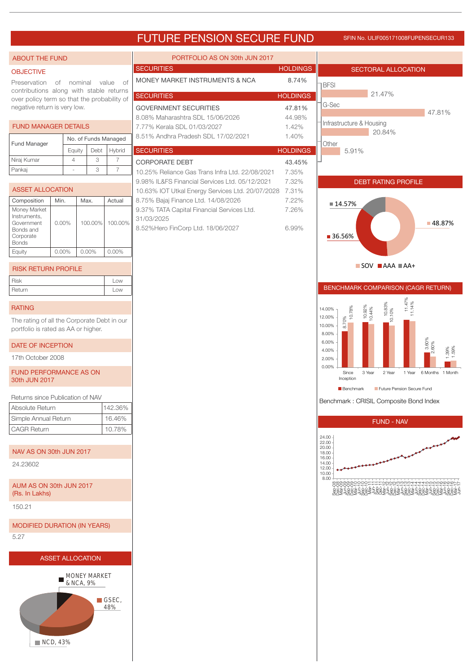### FUTURE PENSION SECURE FUND SFIN NO. ULIF005171008FUPENSECUR133

#### PORTFOLIO AS ON 30th JUN 2017 ABOUT THE FUND SECURITIES HOLDINGS SECTORAL ALLOCATION **OBJECTIVE** MONEY MARKET INSTRUMENTS & NCA 8.74% Preservation of nominal value of **BFSI** contributions along with stable returns 21.47% SECURITIES **HOLDINGS** over policy term so that the probability of G-Sec negative return is very low. GOVERNMENT SECURITIES 47.81% 47.81% 8.08% Maharashtra SDL 15/06/2026 44.98% Infrastructure & Housing FUND MANAGER DETAILS 7.77% Kerala SDL 01/03/2027 1.42% 20.84% 8.51% Andhra Pradesh SDL 17/02/2021 1.40% No. of Funds Managed Fund Manager **Other** SECURITIES **HOLDINGS** Equity Debt Hybrid 5.91% Niraj Kumar 443 CORPORATE DEBT 43.45% Pankaj - 3 7 10.25% Reliance Gas Trans Infra Ltd. 22/08/2021 7.35% 9.98% IL&FS Financial Services Ltd. 05/12/2021 7.32% DEBT RATING PROFILE ASSET ALLOCATION 10.63% IOT Utkal Energy Services Ltd. 20/07/2028 7.31% 8.75% Bajaj Finance Ltd. 14/08/2026 7.22% Composition Min. Max. Actual ■14.57% Money Market 9.37% TATA Capital Financial Services Ltd. 7.26% Instruments, 31/03/2025 Government 0.00% 100.00% 100.00% 48.87% 8.52%Hero FinCorp Ltd. 18/06/2027 6.99% Bonds and ■ 36.56% Corporate Bonds Equity 0.00% 0.00% 0.00%  $\blacksquare$  SOV  $\blacksquare$  AAA  $\blacksquare$  AA+ RISK RETURN PROFILE Risk Low BENCHMARK COMPARISON (CAGR RETURN) Return Low 14.00%<br>  $\begin{bmatrix}\n14.00\% \\
12.00\% \\
10.00\% \\
6.00\% \\
8.00\% \\
4.00\% \\
2.00\% \\
\end{bmatrix}$ <br>  $\begin{bmatrix}\n8.00\% \\
8.00\% \\
8.00\% \\
8.00\% \\
8.00\% \\
8.00\% \\
8.00\% \\
8.00\% \\
8.00\% \\
8.00\% \\
8.00\% \\
8.00\% \\
8.00\% \\
8.00\% \\
8.00\% \\
8.00\% \\
8.00\% \\
8.00\% \\
8.00\% \\
8.0$ 11.14% RATING 14.00% 10.78% 10.44% 10.10% 12.00% The rating of all the Corporate Debt in our 10.00% portfolio is rated as AA or higher. 8.00% 6.00% DATE OF INCEPTION 2.60% 1.39% 1.59% 4.00% 17th October 2008 2.00% 0.00% FUND PERFORMANCE AS ON Since 3 Year 2 Year 1 Year 6 Months 1 Month Inception 30th JUN 2017 **Benchmark Future Pension Secure Fund** Returns since Publication of NAV Absolute Return 142.36% Simple Annual Return 16.46% FUND - NAV CAGR Return 10.78% 24.00 22.00 18.00 20.00 NAV AS ON 30th JUN 2017 16.00 24.23602 14.00 12.00 10.00 8.00 AUM AS ON 30th JUN 2017 영영영영영영으으으으는두두두오남연인인인인인인으로 보호받으면 또는 48%<br>46%로 48%로 45%로 54%로 54%로 54%로 54%로 54%로 54%로<br>2002년 2003년 2003년 2004년 2004년 2004년 2004년 2004년 (Rs. In Lakhs) 150.21 MODIFIED DURATION (IN YEARS) 5.27 ASSET ALLOCATION MONEY MARKET г & NCA, 9% GSEC. 48% **NCD, 43%**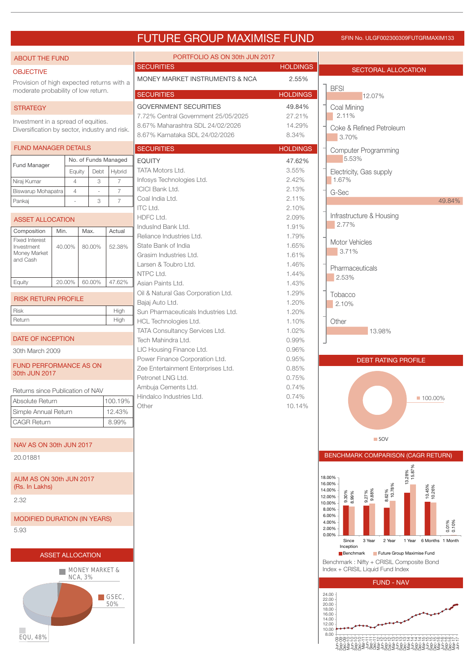### FUTURE GROUP MAXIMISE FUND SFIN No. ULGF002300309FUTGRMAXIM133

| <b>ABOUT THE FUND</b>                         |                         |                |                           |                             | PORTFOLIO AS ON 30th JUN 2017                                           |                  |                                                                                                                |
|-----------------------------------------------|-------------------------|----------------|---------------------------|-----------------------------|-------------------------------------------------------------------------|------------------|----------------------------------------------------------------------------------------------------------------|
| <b>OBJECTIVE</b>                              |                         |                |                           |                             | <b>SECURITIES</b>                                                       | <b>HOLDINGS</b>  | <b>SECTORAL ALLOCATION</b>                                                                                     |
| Provision of high expected returns with a     |                         |                |                           |                             | MONEY MARKET INSTRUMENTS & NCA                                          | 2.55%            |                                                                                                                |
| moderate probability of low return.           |                         |                |                           |                             | <b>SECURITIES</b>                                                       | <b>HOLDINGS</b>  | <b>BFSI</b><br>12.07%                                                                                          |
| <b>STRATEGY</b>                               |                         |                |                           |                             | <b>GOVERNMENT SECURITIES</b>                                            | 49.84%           | Coal Mining                                                                                                    |
| Investment in a spread of equities.           |                         |                |                           |                             | 7.72% Central Government 25/05/2025<br>8.67% Maharashtra SDL 24/02/2026 | 27.21%<br>14.29% | 2.11%                                                                                                          |
| Diversification by sector, industry and risk. |                         |                |                           |                             | 8.67% Karnataka SDL 24/02/2026                                          | 8.34%            | Coke & Refined Petroleum<br>3.70%                                                                              |
| <b>FUND MANAGER DETAILS</b>                   |                         |                |                           |                             | <b>SECURITIES</b>                                                       | <b>HOLDINGS</b>  | <b>Computer Programming</b>                                                                                    |
|                                               |                         |                | No. of Funds Managed      |                             | <b>EQUITY</b>                                                           | 47.62%           | 5.53%                                                                                                          |
| Fund Manager                                  |                         | Equity         | Debt                      | Hybrid                      | <b>TATA Motors Ltd.</b>                                                 | 3.55%            | Electricity, Gas supply                                                                                        |
| Niraj Kumar                                   | $\overline{4}$          |                | 3                         | $\overline{7}$              | Infosys Technologies Ltd.                                               | 2.42%            | 1.67%                                                                                                          |
| Biswarup Mohapatra                            | $\overline{4}$          |                |                           | $\overline{7}$              | <b>ICICI Bank Ltd.</b><br>Coal India Ltd.                               | 2.13%<br>2.11%   | G-Sec                                                                                                          |
| Pankaj                                        |                         |                | 3                         | $\overline{7}$              | <b>ITC Ltd.</b>                                                         | 2.10%            | 49.84%                                                                                                         |
| <b>ASSET ALLOCATION</b>                       |                         |                |                           |                             | HDFC Ltd.                                                               | 2.09%            | Infrastructure & Housing                                                                                       |
| Composition                                   | Min.                    |                | Max.                      | Actual                      | IndusInd Bank Ltd.                                                      | 1.91%            | 2.77%                                                                                                          |
| <b>Fixed Interest</b><br>Investment           | 40.00%                  |                | 80.00%                    | 52.38%                      | Reliance Industries Ltd.<br>State Bank of India                         | 1.79%<br>1.65%   | <b>Motor Vehicles</b>                                                                                          |
| Money Market                                  |                         |                |                           |                             | Grasim Industries Ltd.                                                  | 1.61%            | 3.71%                                                                                                          |
| and Cash                                      |                         |                |                           |                             | Larsen & Toubro Ltd.                                                    | 1.46%            | Pharmaceuticals                                                                                                |
|                                               |                         |                | 60.00%                    |                             | NTPC Ltd.                                                               | 1.44%            | 2.53%                                                                                                          |
| Equity                                        | 20.00%                  |                |                           | 47.62%                      | Asian Paints Ltd.<br>Oil & Natural Gas Corporation Ltd.                 | 1.43%<br>1.29%   |                                                                                                                |
| <b>RISK RETURN PROFILE</b>                    |                         |                |                           |                             | Bajaj Auto Ltd.                                                         | 1.20%            | Tobacco<br>2.10%                                                                                               |
| Risk                                          |                         |                |                           | High                        | Sun Pharmaceuticals Industries Ltd.                                     | 1.20%            |                                                                                                                |
| Return                                        |                         |                |                           | High                        | HCL Technologies Ltd.                                                   | 1.10%            | Other                                                                                                          |
| <b>DATE OF INCEPTION</b>                      |                         |                |                           |                             | TATA Consultancy Services Ltd.<br>Tech Mahindra Ltd.                    | 1.02%<br>0.99%   | 13.98%                                                                                                         |
| 30th March 2009                               |                         |                |                           |                             | LIC Housing Finance Ltd.                                                | 0.96%            |                                                                                                                |
| <b>FUND PERFORMANCE AS ON</b>                 |                         |                |                           |                             | Power Finance Corporation Ltd.                                          | 0.95%            | <b>DEBT RATING PROFILE</b>                                                                                     |
| 30th JUN 2017                                 |                         |                |                           |                             | Zee Entertainment Enterprises Ltd.<br>Petronet LNG Ltd.                 | 0.85%<br>0.75%   |                                                                                                                |
| Returns since Publication of NAV              |                         |                |                           |                             | Ambuja Cements Ltd.                                                     | 0.74%            |                                                                                                                |
| Absolute Return                               |                         |                |                           | 100.19%                     | Hindalco Industries Ltd.                                                | 0.74%            | ■ 100.00%                                                                                                      |
| Simple Annual Return                          |                         |                |                           | 12.43%                      | Other                                                                   | 10.14%           |                                                                                                                |
| <b>CAGR Return</b>                            |                         |                |                           | 8.99%                       |                                                                         |                  |                                                                                                                |
|                                               |                         |                |                           |                             |                                                                         |                  | <b>SOV</b>                                                                                                     |
| NAV AS ON 30th JUN 2017                       |                         |                |                           |                             |                                                                         |                  |                                                                                                                |
| 20.01881                                      |                         |                |                           |                             |                                                                         |                  | BENCHMARK COMPARISON (CAGR RETURN)                                                                             |
| AUM AS ON 30th JUN 2017<br>(Rs. In Lakhs)     |                         |                |                           |                             |                                                                         |                  | 13.28%<br>  15.87%<br>18.00%<br>16.00%                                                                         |
| 2.32                                          |                         |                |                           |                             |                                                                         |                  | 8.62%<br>10.78%<br>10.45%<br>10.26%<br>14.00%<br>9.27%<br>9.88%<br>9.30%<br>8.99%<br>12.00%<br>10.00%<br>8.00% |
| <b>MODIFIED DURATION (IN YEARS)</b>           |                         |                |                           |                             |                                                                         |                  | 6.00%<br>4.00%                                                                                                 |
| 5.93                                          |                         |                |                           |                             |                                                                         |                  | 0.01%<br>0.10%<br>2.00%<br>0.00%                                                                               |
|                                               |                         |                |                           |                             |                                                                         |                  | 1 Year 6 Months 1 Month<br>Since<br>3 Year<br>2 Year<br>Inception                                              |
|                                               | <b>ASSET ALLOCATION</b> |                |                           |                             |                                                                         |                  | Benchmark Future Group Maximise Fund                                                                           |
|                                               |                         |                | <b>MONEY MARKET &amp;</b> |                             |                                                                         |                  | Benchmark: Nifty + CRISIL Composite Bond<br>Index + CRISIL Liquid Fund Index                                   |
|                                               |                         | <b>NCA, 3%</b> |                           |                             |                                                                         |                  | <b>FUND - NAV</b>                                                                                              |
|                                               |                         |                |                           | $\blacksquare$ GSEC,<br>50% |                                                                         |                  | 24.00<br>22.00<br>20.00                                                                                        |
|                                               |                         |                |                           |                             |                                                                         |                  | 18.00<br>16.00<br>14.00<br>12.00                                                                               |
| EQU, 48%                                      |                         |                |                           |                             |                                                                         |                  | 10.00<br>8.00<br>88800000FFFF888888884444888888886FF                                                           |
|                                               |                         |                |                           |                             |                                                                         |                  | <u>ÊRGÊŞRGEZERÊŞEŞREŞRGEŞRGEZERGEZERGEZ</u>                                                                    |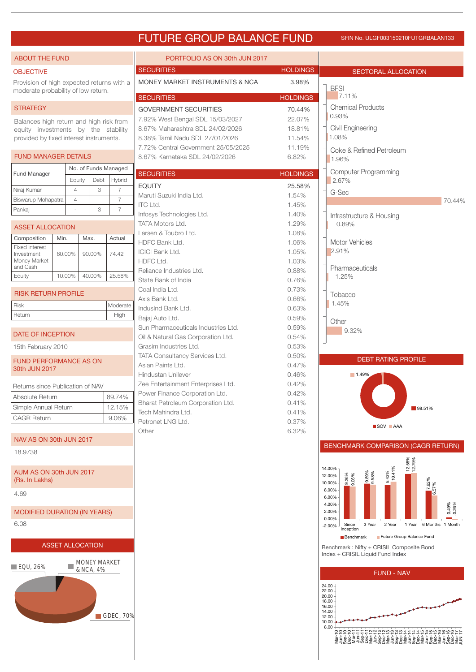### FUTURE GROUP BALANCE FUND SFIN NO. ULGF003150210FUTGRBALAN133

| <b>ABOUT THE FUND</b>                                                            |                         |                          |                          | PORTFOLIO AS ON 30th JUN 2017                                         |                           |                                                                                           |
|----------------------------------------------------------------------------------|-------------------------|--------------------------|--------------------------|-----------------------------------------------------------------------|---------------------------|-------------------------------------------------------------------------------------------|
| <b>OBJECTIVE</b>                                                                 |                         |                          |                          | <b>SECURITIES</b>                                                     | <b>HOLDINGS</b>           | <b>SECTORAL ALLOCATION</b>                                                                |
| Provision of high expected returns with a<br>moderate probability of low return. |                         |                          |                          | MONEY MARKET INSTRUMENTS & NCA                                        | 3.98%                     | <b>BFSI</b>                                                                               |
| <b>STRATEGY</b>                                                                  |                         |                          |                          | <b>SECURITIES</b><br><b>GOVERNMENT SECURITIES</b>                     | <b>HOLDINGS</b><br>70.44% | 7.11%<br><b>Chemical Products</b>                                                         |
| Balances high return and high risk from                                          |                         |                          |                          | 7.92% West Bengal SDL 15/03/2027                                      | 22.07%                    | 0.93%                                                                                     |
| equity investments by the stability                                              |                         |                          |                          | 8.67% Maharashtra SDL 24/02/2026                                      | 18.81%                    | Civil Engineering                                                                         |
| provided by fixed interest instruments.                                          |                         |                          |                          | 8.38% Tamil Nadu SDL 27/01/2026                                       | 11.54%                    | 1.08%                                                                                     |
| <b>FUND MANAGER DETAILS</b>                                                      |                         |                          |                          | 7.72% Central Government 25/05/2025<br>8.67% Karnataka SDL 24/02/2026 | 11.19%<br>6.82%           | Coke & Refined Petroleum<br>1.96%                                                         |
| <b>Fund Manager</b>                                                              |                         |                          | No. of Funds Managed     | <b>SECURITIES</b>                                                     | <b>HOLDINGS</b>           | <b>Computer Programming</b>                                                               |
|                                                                                  | Equity                  | Debt                     | Hybrid                   |                                                                       |                           | 2.67%                                                                                     |
| Niraj Kumar                                                                      | $\overline{4}$          | 3                        | $\overline{7}$           | <b>EQUITY</b><br>Maruti Suzuki India Ltd.                             | 25.58%<br>1.54%           | G-Sec                                                                                     |
| Biswarup Mohapatra                                                               | $\overline{4}$          | $\overline{\phantom{a}}$ | $\overline{7}$           | <b>ITC Ltd.</b>                                                       | 1.45%                     | 70.44%                                                                                    |
| Pankaj                                                                           |                         | 3                        | $\overline{7}$           | Infosys Technologies Ltd.                                             | 1.40%                     | Infrastructure & Housing                                                                  |
| <b>ASSET ALLOCATION</b>                                                          |                         |                          |                          | <b>TATA Motors Ltd.</b>                                               | 1.29%                     | 0.89%                                                                                     |
|                                                                                  |                         |                          |                          | Larsen & Toubro Ltd.                                                  | 1.08%                     |                                                                                           |
| Composition<br><b>Fixed Interest</b>                                             | Min.                    | Max.                     | Actual                   | HDFC Bank Ltd.                                                        | 1.06%                     | <b>Motor Vehicles</b>                                                                     |
| Investment                                                                       | 60.00%                  | 90.00%                   | 74.42                    | <b>ICICI Bank Ltd.</b>                                                | 1.05%                     | 2.91%                                                                                     |
| Money Market<br>and Cash                                                         |                         |                          |                          | HDFC Ltd.                                                             | 1.03%                     |                                                                                           |
| Equity                                                                           | 10.00%                  | 40.00%                   | 25.58%                   | Reliance Industries Ltd.                                              | 0.88%                     | Pharmaceuticals<br>1.25%                                                                  |
|                                                                                  |                         |                          |                          | State Bank of India                                                   | 0.76%                     |                                                                                           |
| <b>RISK RETURN PROFILE</b>                                                       |                         |                          |                          | Coal India Ltd.                                                       | 0.73%                     | Tobacco                                                                                   |
| Risk                                                                             |                         |                          | Moderate                 | Axis Bank Ltd.<br>IndusInd Bank Ltd.                                  | 0.66%<br>0.63%            | 1.45%                                                                                     |
| Return                                                                           |                         |                          | High                     | Bajaj Auto Ltd.                                                       | 0.59%                     |                                                                                           |
|                                                                                  |                         |                          |                          | Sun Pharmaceuticals Industries Ltd.                                   | 0.59%                     | Other                                                                                     |
| DATE OF INCEPTION                                                                |                         |                          |                          | Oil & Natural Gas Corporation Ltd.                                    | 0.54%                     | 9.32%                                                                                     |
| 15th February 2010                                                               |                         |                          |                          | Grasim Industries Ltd.                                                | 0.53%                     |                                                                                           |
|                                                                                  |                         |                          |                          | TATA Consultancy Services Ltd.                                        | 0.50%                     | <b>DEBT RATING PROFILE</b>                                                                |
| <b>FUND PERFORMANCE AS ON</b><br>30th JUN 2017                                   |                         |                          |                          | Asian Paints Ltd.                                                     | 0.47%                     |                                                                                           |
|                                                                                  |                         |                          |                          | Hindustan Unilever                                                    | 0.46%                     | 1.49%                                                                                     |
| Returns since Publication of NAV                                                 |                         |                          |                          | Zee Entertainment Enterprises Ltd.                                    | 0.42%                     |                                                                                           |
| Absolute Return                                                                  |                         |                          | 89.74%                   | Power Finance Corporation Ltd.                                        | 0.42%                     |                                                                                           |
| Simple Annual Return                                                             |                         |                          | 12.15%                   | Bharat Petroleum Corporation Ltd.<br>Tech Mahindra Ltd.               | 0.41%<br>0.41%            | 98.51%                                                                                    |
| CAGR Return                                                                      |                         |                          | 9.06%                    | Petronet LNG Ltd.                                                     | 0.37%                     | SOV AAA                                                                                   |
| NAV AS ON 30th JUN 2017                                                          |                         |                          |                          | Other                                                                 | 6.32%                     |                                                                                           |
| 18.9738                                                                          |                         |                          |                          |                                                                       |                           | BENCHMARK COMPARISON (CAGR RETURN)                                                        |
| AUM AS ON 30th JUN 2017<br>(Rs. In Lakhs)                                        |                         |                          |                          |                                                                       |                           | 12.58%<br>12.79%<br>10.41%<br>10.41%<br>14.00%<br>8.58%<br>9.26%<br>12.00%<br>10.00%<br>တ |
| 4.69                                                                             |                         |                          |                          |                                                                       |                           | 7.92%<br>6.57%<br>8.00%<br>6.00%                                                          |
| <b>MODIFIED DURATION (IN YEARS)</b>                                              |                         |                          |                          |                                                                       |                           | 4.00%<br>0.49%<br>-0.26%<br>2.00%                                                         |
| 6.08                                                                             |                         |                          |                          |                                                                       |                           | 0.00%<br>2 Year<br>1 Year 6 Months 1 Month<br>Since<br>3 Year<br>$-2.00%$<br>Inception    |
|                                                                                  | <b>ASSET ALLOCATION</b> |                          |                          |                                                                       |                           | Future Group Balance Fund<br>Benchmark<br>Benchmark: Nifty + CRISIL Composite Bond        |
|                                                                                  |                         | <b>MONEY MARKET</b>      |                          |                                                                       |                           | Index + CRISIL Liquid Fund Index                                                          |
| $\blacksquare$ EQU, 26%                                                          |                         | & NCA, 4%                |                          |                                                                       |                           | <b>FUND - NAV</b>                                                                         |
|                                                                                  |                         |                          |                          |                                                                       |                           | 24.00<br>22.00                                                                            |
|                                                                                  |                         |                          |                          |                                                                       |                           | 20.00<br>18.00                                                                            |
|                                                                                  |                         |                          |                          |                                                                       |                           | 16.00<br>14.00                                                                            |
|                                                                                  |                         |                          | $\blacksquare$ GDEC, 70% |                                                                       |                           | 12.00<br>10.00                                                                            |
|                                                                                  |                         |                          |                          |                                                                       |                           | 8.00                                                                                      |
|                                                                                  |                         |                          |                          |                                                                       |                           |                                                                                           |
|                                                                                  |                         |                          |                          |                                                                       |                           |                                                                                           |
|                                                                                  |                         |                          |                          |                                                                       |                           |                                                                                           |